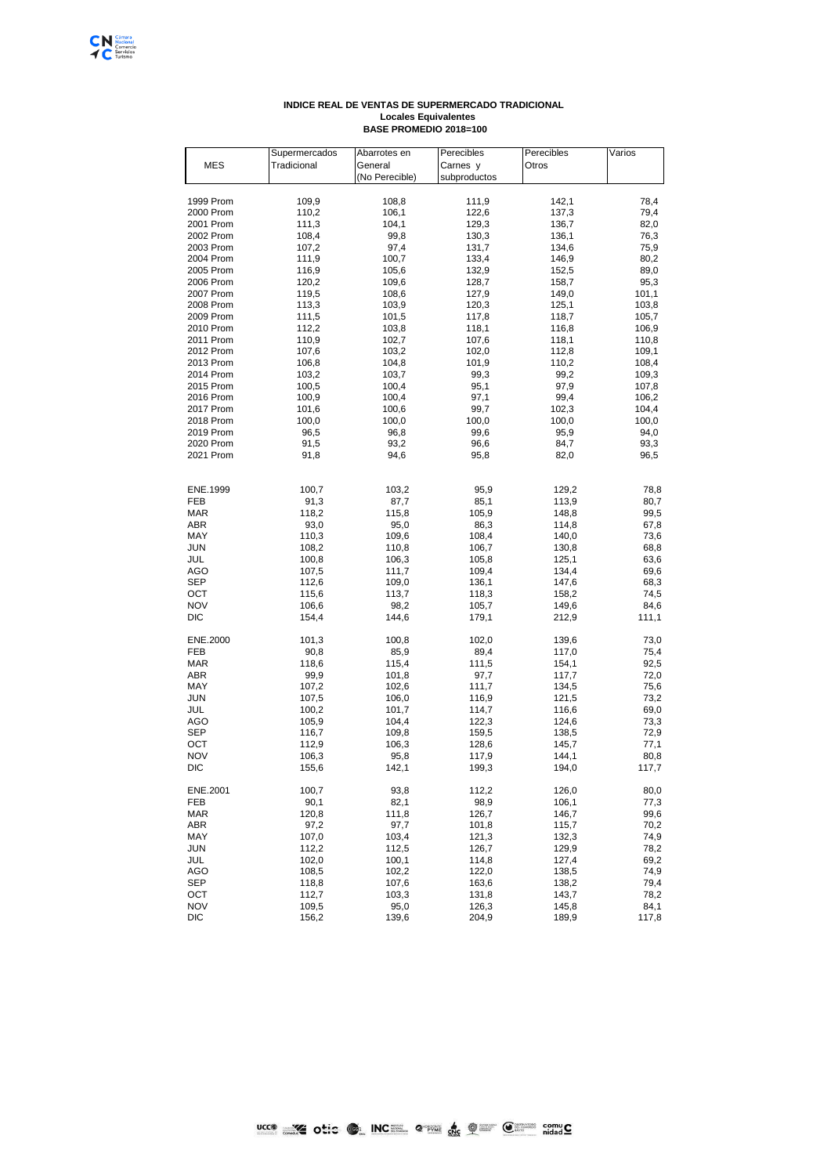## **INDICE REAL DE VENTAS DE SUPERMERCADO TRADICIONAL Locales Equivalentes BASE PROMEDIO 2018=100**

|                        | Supermercados  | Abarrotes en   | Perecibles     | Perecibles     | Varios         |
|------------------------|----------------|----------------|----------------|----------------|----------------|
| <b>MES</b>             | Tradicional    | General        | Carnes y       | Otros          |                |
|                        |                | (No Perecible) | subproductos   |                |                |
|                        |                |                |                |                |                |
| 1999 Prom              | 109,9          | 108,8          | 111,9          | 142,1          | 78,4           |
| 2000 Prom              | 110,2          | 106,1          | 122,6          | 137,3          | 79,4           |
| 2001 Prom              | 111,3          | 104,1          | 129,3          | 136,7          | 82,0           |
| 2002 Prom              | 108,4          | 99,8           | 130,3          | 136,1          | 76,3           |
| 2003 Prom              | 107,2          | 97,4           | 131,7          | 134,6          | 75,9           |
| 2004 Prom              | 111,9          | 100,7          | 133,4          | 146,9          | 80,2           |
| 2005 Prom              | 116,9          | 105,6          | 132,9          | 152,5          | 89,0           |
| 2006 Prom              | 120,2<br>119,5 | 109,6          | 128,7<br>127,9 | 158,7          | 95,3           |
| 2007 Prom<br>2008 Prom | 113,3          | 108,6<br>103,9 | 120,3          | 149,0<br>125,1 | 101,1<br>103,8 |
| 2009 Prom              | 111,5          | 101,5          | 117,8          | 118,7          | 105,7          |
| 2010 Prom              | 112,2          | 103,8          | 118,1          | 116,8          | 106,9          |
| 2011 Prom              | 110,9          | 102,7          | 107,6          | 118,1          | 110,8          |
| 2012 Prom              | 107,6          | 103,2          | 102,0          | 112,8          | 109,1          |
| 2013 Prom              | 106,8          | 104,8          | 101,9          | 110,2          | 108,4          |
| 2014 Prom              | 103,2          | 103,7          | 99,3           | 99,2           | 109,3          |
| 2015 Prom              | 100,5          | 100,4          | 95,1           | 97,9           | 107,8          |
| 2016 Prom              | 100,9          | 100,4          | 97,1           | 99,4           | 106,2          |
| 2017 Prom              | 101,6          | 100,6          | 99,7           | 102,3          | 104,4          |
| 2018 Prom              | 100,0          | 100,0          | 100,0          | 100,0          | 100,0          |
| 2019 Prom              | 96,5           | 96,8           | 99,6           | 95,9           | 94,0           |
| 2020 Prom              | 91,5           | 93,2           | 96,6           | 84,7           | 93,3           |
| 2021 Prom              | 91,8           | 94,6           | 95,8           | 82,0           | 96,5           |
|                        |                |                |                |                |                |
| ENE.1999               | 100,7          | 103,2          | 95,9           | 129,2          | 78,8           |
| FEB                    | 91,3           | 87,7           | 85,1           | 113,9          | 80,7           |
| MAR                    | 118,2          | 115,8          | 105,9          | 148,8          | 99,5           |
| ABR                    | 93,0           | 95,0           | 86,3           | 114,8          | 67,8           |
| MAY                    | 110,3          | 109,6          | 108,4          | 140,0          | 73,6           |
| JUN                    | 108,2          | 110,8          | 106,7          | 130,8          | 68,8           |
| JUL                    | 100,8          | 106,3          | 105,8          | 125,1          | 63,6           |
| AGO                    | 107,5          | 111,7          | 109,4          | 134,4          | 69,6           |
| SEP                    | 112,6          | 109,0          | 136,1          | 147,6          | 68,3           |
| OCT                    | 115,6          | 113,7          | 118,3          | 158,2          | 74,5           |
| <b>NOV</b>             | 106,6          | 98,2           | 105,7          | 149,6          | 84,6           |
| DIC                    | 154,4          | 144,6          | 179,1          | 212,9          | 111,1          |
| ENE.2000               | 101,3          | 100,8          | 102,0          | 139,6          | 73,0           |
| FEB                    | 90,8           | 85,9           | 89,4           | 117,0          | 75,4           |
| MAR                    | 118,6          | 115,4          | 111,5          | 154,1          | 92,5           |
| ABR                    | 99,9           | 101,8          | 97,7           | 117,7          | 72,0           |
| MAY                    | 107,2          | 102,6          | 111,7          | 134,5          | 75,6           |
| JUN                    | 107,5          | 106,0          | 116,9          | 121,5          | 73,2           |
| JUL                    | 100,2          | 101,7          | 114,7          | 116,6          | 69,0           |
| AGO                    | 105,9          | 104,4          | 122,3          | 124,6          | 73,3           |
| SEP                    | 116,7          | 109,8          | 159,5          | 138,5          | 72,9           |
| ОСТ                    | 112,9          | 106,3          | 128,6          | 145,7          | 77,1           |
| <b>NOV</b>             | 106,3          | 95,8           | 117,9          | 144,1          | 80,8           |
| DIC                    | 155,6          | 142,1          | 199,3          | 194,0          | 117,7          |
| ENE.2001               | 100,7          | 93,8           | 112,2          | 126,0          | 80,0           |
| FEB                    | 90,1           | 82,1           | 98,9           | 106,1          | 77,3           |
| <b>MAR</b>             | 120,8          | 111,8          | 126,7          | 146,7          | 99,6           |
| ABR                    | 97,2           | 97,7           | 101,8          | 115,7          | 70,2           |
| MAY                    | 107,0          | 103,4          | 121,3          | 132,3          | 74,9           |
| JUN                    | 112,2          | 112,5          | 126,7          | 129,9          | 78,2           |
| JUL                    | 102,0          | 100,1          | 114,8          | 127,4          | 69,2           |
| <b>AGO</b>             | 108,5          | 102,2          | 122,0<br>163,6 | 138,5<br>138,2 | 74,9           |
| SEP                    | 118,8          | 107,6          |                |                | 79,4           |
| OCT<br><b>NOV</b>      | 112,7<br>109,5 | 103,3<br>95,0  | 131,8<br>126,3 | 143,7<br>145,8 | 78,2<br>84,1   |
| DIC                    | 156,2          | 139,6          | 204,9          | 189,9          | 117,8          |
|                        |                |                |                |                |                |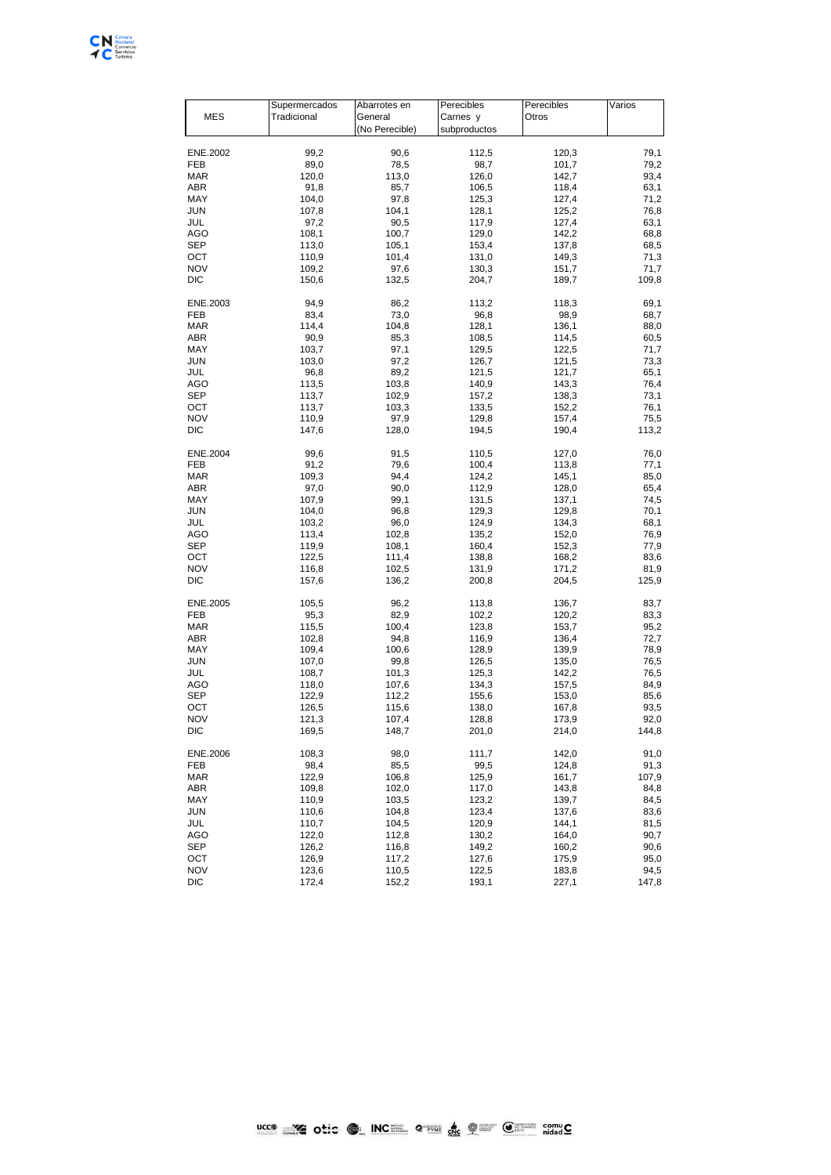

| <b>MES</b> | Supermercados<br>Tradicional | Abarrotes en<br>General | Perecibles<br>Carnes y | Perecibles<br>Otros | Varios |
|------------|------------------------------|-------------------------|------------------------|---------------------|--------|
|            |                              |                         |                        |                     |        |
|            |                              | (No Perecible)          | subproductos           |                     |        |
|            |                              |                         |                        |                     |        |
| ENE.2002   | 99,2                         | 90,6                    | 112,5                  | 120,3               | 79,1   |
| FEB        | 89,0                         | 78,5                    | 98,7                   | 101,7               | 79,2   |
| <b>MAR</b> | 120,0                        | 113,0                   | 126,0                  | 142,7               | 93,4   |
| ABR        | 91,8                         | 85,7                    | 106,5                  | 118,4               | 63,1   |
| MAY        | 104,0                        | 97,8                    | 125,3                  | 127,4               | 71,2   |
| JUN        | 107,8                        | 104,1                   | 128,1                  | 125,2               | 76,8   |
| JUL        | 97,2                         | 90,5                    | 117,9                  | 127,4               | 63,1   |
| AGO        | 108,1                        | 100,7                   | 129,0                  | 142,2               | 68,8   |
| SEP        | 113,0                        | 105,1                   | 153,4                  | 137,8               | 68,5   |
| ост        | 110,9                        | 101,4                   | 131,0                  | 149,3               | 71,3   |
| <b>NOV</b> |                              |                         | 130,3                  |                     |        |
|            | 109,2                        | 97,6                    |                        | 151,7               | 71,7   |
| DIC        | 150,6                        | 132,5                   | 204,7                  | 189,7               | 109,8  |
| ENE.2003   | 94,9                         | 86,2                    | 113,2                  | 118,3               | 69,1   |
| FEB        | 83,4                         | 73,0                    | 96,8                   | 98,9                | 68,7   |
|            |                              |                         |                        |                     |        |
| <b>MAR</b> | 114,4                        | 104,8                   | 128,1                  | 136,1               | 88,0   |
| ABR        | 90,9                         | 85,3                    | 108,5                  | 114,5               | 60,5   |
| MAY        | 103,7                        | 97,1                    | 129,5                  | 122,5               | 71,7   |
| JUN        | 103,0                        | 97,2                    | 126,7                  | 121,5               | 73,3   |
| JUL        | 96,8                         | 89,2                    | 121,5                  | 121,7               | 65,1   |
| AGO        | 113,5                        | 103,8                   | 140,9                  | 143,3               | 76,4   |
| SEP        | 113,7                        | 102,9                   | 157,2                  | 138,3               | 73,1   |
| ост        | 113,7                        | 103,3                   | 133,5                  | 152,2               | 76,1   |
| <b>NOV</b> | 110,9                        | 97,9                    | 129,8                  | 157,4               | 75,5   |
| DIC        | 147,6                        | 128,0                   | 194,5                  | 190,4               | 113,2  |
|            |                              |                         |                        |                     |        |
| ENE.2004   | 99,6                         | 91,5                    | 110,5                  | 127,0               | 76,0   |
| FEB        | 91,2                         | 79,6                    | 100,4                  | 113,8               | 77,1   |
| <b>MAR</b> | 109,3                        | 94,4                    | 124,2                  | 145,1               | 85,0   |
| ABR        | 97,0                         | 90,0                    | 112,9                  | 128,0               | 65,4   |
| MAY        | 107,9                        | 99,1                    | 131,5                  | 137,1               | 74,5   |
|            |                              |                         |                        |                     |        |
| JUN        | 104,0                        | 96,8                    | 129,3                  | 129,8               | 70,1   |
| JUL        | 103,2                        | 96,0                    | 124,9                  | 134,3               | 68,1   |
| AGO        | 113,4                        | 102,8                   | 135,2                  | 152,0               | 76,9   |
| SEP        | 119,9                        | 108,1                   | 160,4                  | 152,3               | 77,9   |
| OCT        | 122,5                        | 111,4                   | 138,8                  | 168,2               | 83,6   |
| <b>NOV</b> | 116,8                        | 102,5                   | 131,9                  | 171,2               | 81,9   |
| DIC        | 157,6                        | 136,2                   | 200,8                  | 204,5               | 125,9  |
|            |                              |                         |                        |                     |        |
| ENE.2005   | 105,5                        | 96,2                    | 113,8                  | 136,7               | 83,7   |
| FEB        | 95,3                         | 82,9                    | 102,2                  | 120,2               | 83,3   |
| <b>MAR</b> | 115,5                        | 100,4                   | 123,8                  | 153,7               | 95,2   |
| ABR        | 102,8                        | 94,8                    | 116,9                  | 136,4               | 72,7   |
| MAY        | 109,4                        | 100,6                   | 128,9                  | 139,9               | 78,9   |
| JUN        | 107,0                        | 99,8                    | 126,5                  | 135,0               | 76,5   |
| JUL        | 108,7                        | 101,3                   | 125,3                  | 142,2               | 76,5   |
| AGO        | 118,0                        | 107,6                   | 134,3                  | 157,5               | 84,9   |
| SEP        | 122,9                        | 112,2                   | 155,6                  | 153,0               | 85,6   |
| OCT        | 126,5                        | 115,6                   | 138,0                  | 167,8               | 93,5   |
| <b>NOV</b> |                              |                         | 128,8                  |                     |        |
|            | 121,3                        | 107,4                   |                        | 173,9               | 92,0   |
| DIC        | 169,5                        | 148,7                   | 201,0                  | 214,0               | 144,8  |
| ENE.2006   | 108,3                        | 98,0                    | 111,7                  | 142,0               | 91,0   |
| FEB        | 98,4                         | 85,5                    | 99,5                   | 124,8               | 91,3   |
| <b>MAR</b> |                              |                         |                        |                     | 107,9  |
|            | 122,9                        | 106,8                   | 125,9                  | 161,7               |        |
| ABR        | 109,8                        | 102,0                   | 117,0                  | 143,8               | 84,8   |
| MAY        | 110,9                        | 103,5                   | 123,2                  | 139,7               | 84,5   |
| JUN        | 110,6                        | 104,8                   | 123,4                  | 137,6               | 83,6   |
| JUL        | 110,7                        | 104,5                   | 120,9                  | 144,1               | 81,5   |
| AGO        | 122,0                        | 112,8                   | 130,2                  | 164,0               | 90,7   |
| SEP        | 126,2                        | 116,8                   | 149,2                  | 160,2               | 90,6   |
| OCT        | 126,9                        | 117,2                   | 127,6                  | 175,9               | 95,0   |
| <b>NOV</b> | 123,6                        | 110,5                   | 122,5                  | 183,8               | 94,5   |
| DIC        | 172,4                        | 152,2                   | 193,1                  | 227,1               | 147,8  |
|            |                              |                         |                        |                     |        |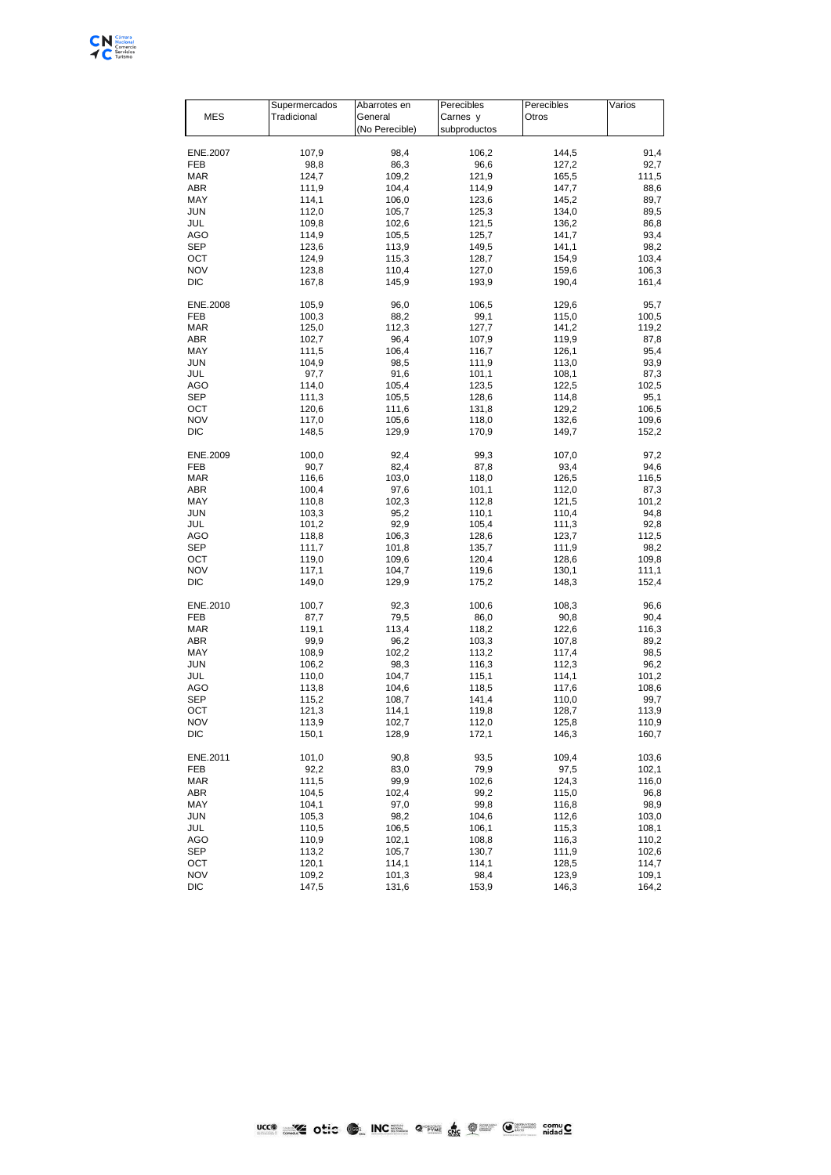

ľ  $\overline{\phantom{a}}$ 

|            | Supermercados | Abarrotes en   | Perecibles   | Perecibles | Varios |
|------------|---------------|----------------|--------------|------------|--------|
| <b>MES</b> | Tradicional   | General        | Carnes y     | Otros      |        |
|            |               | (No Perecible) | subproductos |            |        |
|            |               |                |              |            |        |
| ENE.2007   | 107,9         | 98,4           | 106,2        | 144,5      | 91.4   |
|            |               |                |              |            |        |
| FEB        | 98,8          | 86,3           | 96,6         | 127,2      | 92,7   |
| MAR        | 124,7         | 109,2          | 121,9        | 165,5      | 111,5  |
| ABR        | 111,9         | 104,4          | 114,9        | 147,7      | 88,6   |
| MAY        | 114,1         | 106,0          | 123,6        | 145,2      | 89,7   |
| JUN        | 112,0         | 105,7          | 125,3        | 134,0      | 89,5   |
| JUL        | 109,8         | 102,6          | 121,5        | 136,2      | 86,8   |
| AGO        | 114,9         | 105,5          | 125,7        | 141,7      | 93,4   |
|            |               |                |              |            |        |
| SEP        | 123,6         | 113,9          | 149,5        | 141,1      | 98,2   |
| ост        | 124,9         | 115,3          | 128,7        | 154,9      | 103,4  |
| NOV        | 123,8         | 110,4          | 127,0        | 159,6      | 106,3  |
| DIC        | 167,8         | 145,9          | 193,9        | 190,4      | 161,4  |
|            |               |                |              |            |        |
| ENE.2008   | 105,9         | 96,0           | 106,5        | 129,6      | 95,7   |
| FEB        | 100,3         | 88,2           | 99,1         | 115,0      | 100,5  |
|            | 125,0         | 112,3          |              | 141,2      | 119,2  |
| MAR        |               |                | 127,7        |            |        |
| ABR        | 102,7         | 96,4           | 107,9        | 119,9      | 87,8   |
| MAY        | 111,5         | 106,4          | 116,7        | 126,1      | 95,4   |
| JUN        | 104,9         | 98,5           | 111,9        | 113,0      | 93,9   |
| JUL        | 97,7          | 91,6           | 101,1        | 108,1      | 87,3   |
| AGO        | 114,0         | 105,4          | 123,5        | 122,5      | 102,5  |
| SEP        | 111,3         | 105,5          | 128,6        | 114,8      | 95,1   |
|            |               |                |              |            |        |
| ост        | 120,6         | 111,6          | 131,8        | 129,2      | 106,5  |
| NOV        | 117,0         | 105,6          | 118,0        | 132,6      | 109,6  |
| DIC        | 148,5         | 129,9          | 170,9        | 149,7      | 152,2  |
|            |               |                |              |            |        |
| ENE.2009   | 100,0         | 92,4           | 99,3         | 107,0      | 97,2   |
| FEB        | 90,7          | 82,4           | 87,8         | 93,4       | 94,6   |
| MAR        | 116,6         | 103,0          | 118,0        | 126,5      | 116,5  |
|            |               |                |              |            |        |
| ABR        | 100,4         | 97,6           | 101,1        | 112,0      | 87,3   |
| MAY        | 110,8         | 102,3          | 112,8        | 121,5      | 101,2  |
| JUN        | 103,3         | 95,2           | 110,1        | 110,4      | 94,8   |
| JUL        | 101,2         | 92,9           | 105,4        | 111,3      | 92,8   |
| AGO        | 118,8         | 106,3          | 128,6        | 123,7      | 112,5  |
| SEP        | 111,7         | 101,8          | 135,7        | 111,9      | 98,2   |
| ост        | 119,0         | 109,6          | 120,4        | 128,6      | 109,8  |
|            |               |                |              |            |        |
| NOV        | 117,1         | 104,7          | 119,6        | 130,1      | 111,1  |
| DIC        | 149,0         | 129,9          | 175,2        | 148,3      | 152,4  |
|            |               |                |              |            |        |
| ENE.2010   | 100,7         | 92,3           | 100,6        | 108,3      | 96,6   |
| FEB        | 87,7          | 79,5           | 86,0         | 90,8       | 90,4   |
| MAR        | 119,1         | 113,4          | 118,2        | 122,6      | 116,3  |
| ABR        | 99,9          | 96,2           | 103,3        | 107,8      | 89,2   |
| MAY        | 108,9         | 102,2          | 113,2        | 117,4      |        |
|            |               |                |              |            | 98,5   |
| JUN        | 106,2         | 98,3           | 116,3        | 112,3      | 96,2   |
| JUL        | 110,0         | 104,7          | 115,1        | 114,1      | 101,2  |
| AGO        | 113,8         | 104,6          | 118,5        | 117,6      | 108,6  |
| SEP        | 115,2         | 108,7          | 141,4        | 110,0      | 99,7   |
| ост        | 121,3         | 114,1          | 119,8        | 128,7      | 113,9  |
| NOV        | 113,9         | 102,7          | 112,0        | 125,8      | 110,9  |
|            |               |                |              |            |        |
| DIC        | 150,1         | 128,9          | 172,1        | 146,3      | 160,7  |
|            |               |                |              |            |        |
| ENE.2011   | 101,0         | 90,8           | 93,5         | 109,4      | 103,6  |
| FEB        | 92,2          | 83,0           | 79,9         | 97,5       | 102,1  |
| MAR        | 111,5         | 99,9           | 102,6        | 124,3      | 116,0  |
| ABR        | 104,5         | 102,4          | 99,2         | 115,0      | 96,8   |
|            |               |                |              |            |        |
| MAY        | 104,1         | 97,0           | 99,8         | 116,8      | 98,9   |
| JUN        | 105,3         | 98,2           | 104,6        | 112,6      | 103,0  |
| JUL        | 110,5         | 106,5          | 106,1        | 115,3      | 108,1  |
| AGO        | 110,9         | 102,1          | 108,8        | 116,3      | 110,2  |
| SEP        | 113,2         | 105,7          | 130,7        | 111,9      | 102,6  |
| ост        | 120,1         | 114,1          | 114,1        | 128,5      | 114,7  |
| NOV        | 109,2         | 101,3          | 98,4         | 123,9      | 109,1  |
|            |               |                |              |            |        |
| DIC        | 147,5         | 131,6          | 153,9        | 146,3      | 164,2  |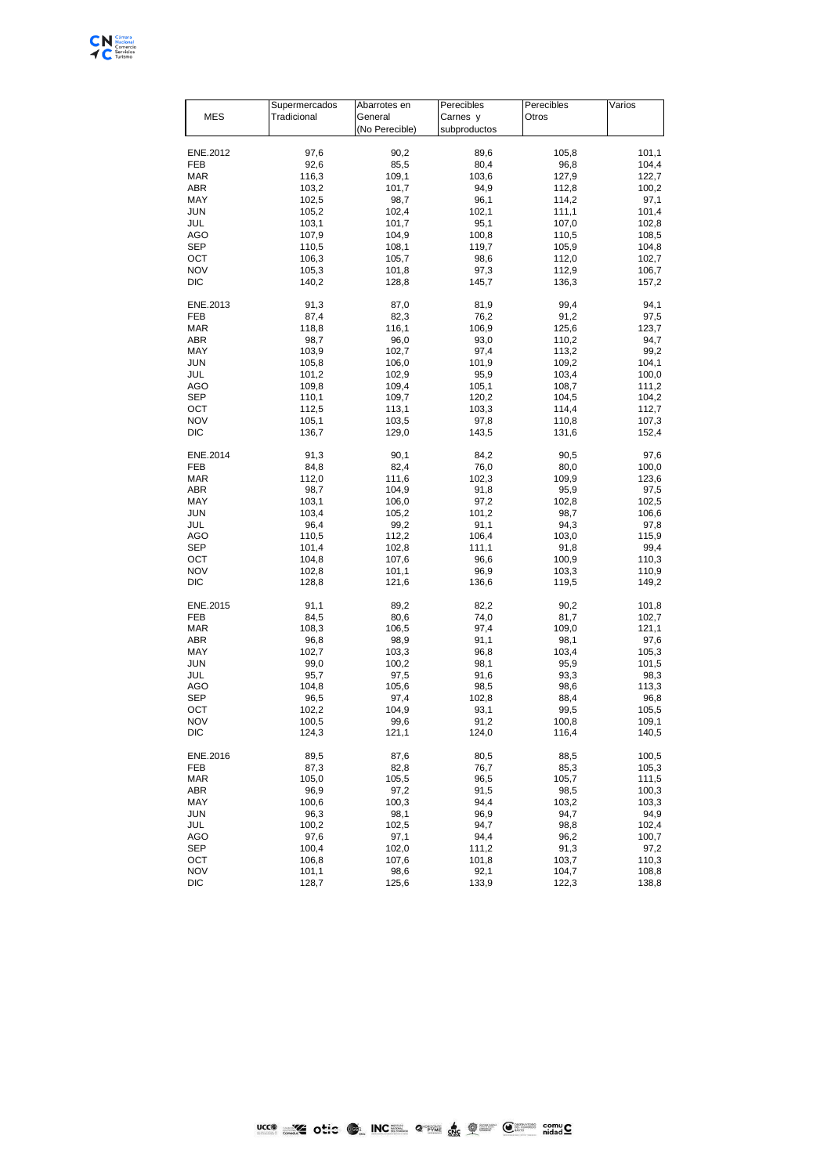

|          | Supermercados | Abarrotes en   | Perecibles   | Perecibles | Varios |
|----------|---------------|----------------|--------------|------------|--------|
| MES      | Tradicional   | General        | Carnes y     | Otros      |        |
|          |               | (No Perecible) | subproductos |            |        |
|          |               |                |              |            |        |
| ENE.2012 | 97,6          | 90,2           | 89,6         | 105,8      | 101,1  |
| FEB      | 92,6          | 85,5           | 80,4         | 96,8       | 104,4  |
| MAR      | 116,3         | 109,1          | 103,6        | 127,9      | 122,7  |
|          |               |                |              |            |        |
| ABR      | 103,2         | 101,7          | 94,9         | 112,8      | 100,2  |
| MAY      | 102,5         | 98,7           | 96,1         | 114,2      | 97,1   |
| JUN      | 105,2         | 102,4          | 102,1        | 111,1      | 101,4  |
| JUL      | 103,1         | 101,7          | 95,1         | 107,0      | 102,8  |
| AGO      | 107,9         | 104,9          | 100,8        | 110,5      | 108,5  |
| SEP      | 110,5         | 108,1          | 119,7        | 105,9      | 104,8  |
| ост      | 106,3         | 105.7          | 98,6         | 112,0      | 102,7  |
| NOV      | 105,3         | 101,8          | 97,3         | 112,9      | 106,7  |
|          |               |                |              |            |        |
| DIC      | 140,2         | 128,8          | 145,7        | 136,3      | 157,2  |
| ENE.2013 | 91,3          | 87,0           | 81,9         | 99,4       | 94,1   |
|          |               |                |              |            |        |
| FEB      | 87,4          | 82,3           | 76,2         | 91,2       | 97,5   |
| MAR      | 118,8         | 116,1          | 106,9        | 125,6      | 123,7  |
| ABR      | 98,7          | 96,0           | 93,0         | 110,2      | 94,7   |
| MAY      | 103,9         | 102,7          | 97,4         | 113,2      | 99,2   |
| JUN      | 105,8         | 106,0          | 101,9        | 109,2      | 104,1  |
| JUL      | 101,2         | 102,9          | 95,9         | 103,4      | 100,0  |
| AGO      | 109,8         | 109,4          | 105,1        | 108,7      | 111,2  |
| SEP      | 110,1         | 109,7          | 120,2        | 104,5      | 104,2  |
|          |               |                |              |            |        |
| ост      | 112,5         | 113,1          | 103,3        | 114,4      | 112,7  |
| NOV      | 105,1         | 103,5          | 97,8         | 110,8      | 107,3  |
| DIC      | 136,7         | 129,0          | 143,5        | 131,6      | 152,4  |
|          |               |                |              |            |        |
| ENE.2014 | 91,3          | 90,1           | 84,2         | 90,5       | 97,6   |
| FEB      | 84,8          | 82,4           | 76,0         | 80,0       | 100,0  |
| MAR      | 112,0         | 111,6          | 102,3        | 109,9      | 123,6  |
| ABR      | 98,7          | 104,9          | 91,8         | 95,9       | 97,5   |
| MAY      | 103,1         | 106,0          | 97,2         | 102,8      | 102,5  |
| JUN      | 103,4         | 105,2          | 101,2        | 98,7       | 106,6  |
| JUL      | 96,4          | 99,2           | 91,1         | 94,3       | 97,8   |
| AGO      | 110,5         | 112,2          | 106,4        | 103,0      | 115,9  |
|          |               |                |              |            |        |
| SEP      | 101,4         | 102,8          | 111,1        | 91,8       | 99,4   |
| ост      | 104,8         | 107,6          | 96,6         | 100,9      | 110,3  |
| NOV      | 102,8         | 101,1          | 96,9         | 103,3      | 110,9  |
| DIC      | 128,8         | 121,6          | 136,6        | 119,5      | 149,2  |
|          |               |                |              |            |        |
| ENE.2015 | 91,1          | 89,2           | 82,2         | 90,2       | 101,8  |
| FEB      | 84,5          | 80,6           | 74,0         | 81,7       | 102,7  |
| MAR      | 108,3         | 106,5          | 97,4         | 109,0      | 121,1  |
| ABR      | 96,8          | 98,9           | 91,1         | 98,1       | 97,6   |
| MAY      | 102,7         | 103,3          | 96,8         | 103,4      | 105,3  |
| JUN      | 99,0          | 100,2          | 98,1         | 95,9       | 101,5  |
| JUL      | 95,7          | 97,5           | 91,6         | 93,3       | 98,3   |
| AGO      | 104,8         | 105,6          | 98,5         | 98,6       | 113,3  |
|          |               |                |              |            |        |
| SEP      | 96,5          | 97,4           | 102,8        | 88,4       | 96,8   |
| ост      | 102,2         | 104,9          | 93,1         | 99,5       | 105,5  |
| NOV      | 100,5         | 99,6           | 91,2         | 100,8      | 109,1  |
| DIC      | 124,3         | 121,1          | 124,0        | 116,4      | 140,5  |
|          |               |                |              |            |        |
| ENE.2016 | 89,5          | 87,6           | 80,5         | 88,5       | 100,5  |
| FEB      | 87,3          | 82,8           | 76,7         | 85,3       | 105,3  |
| MAR      | 105,0         | 105,5          | 96,5         | 105,7      | 111,5  |
| ABR      | 96,9          | 97,2           | 91,5         | 98,5       | 100,3  |
| MAY      | 100,6         | 100,3          | 94,4         | 103,2      | 103,3  |
| JUN      | 96,3          | 98,1           | 96,9         | 94,7       | 94,9   |
| JUL      | 100,2         | 102,5          | 94,7         | 98,8       | 102,4  |
|          |               |                |              |            |        |
| AGO      | 97,6          | 97,1           | 94,4         | 96,2       | 100,7  |
| SEP      | 100,4         | 102,0          | 111,2        | 91,3       | 97,2   |
| ост      | 106,8         | 107,6          | 101,8        | 103,7      | 110,3  |
| NOV      | 101,1         | 98,6           | 92,1         | 104,7      | 108,8  |
| DIC      | 128,7         | 125,6          | 133,9        | 122,3      | 138,8  |
|          |               |                |              |            |        |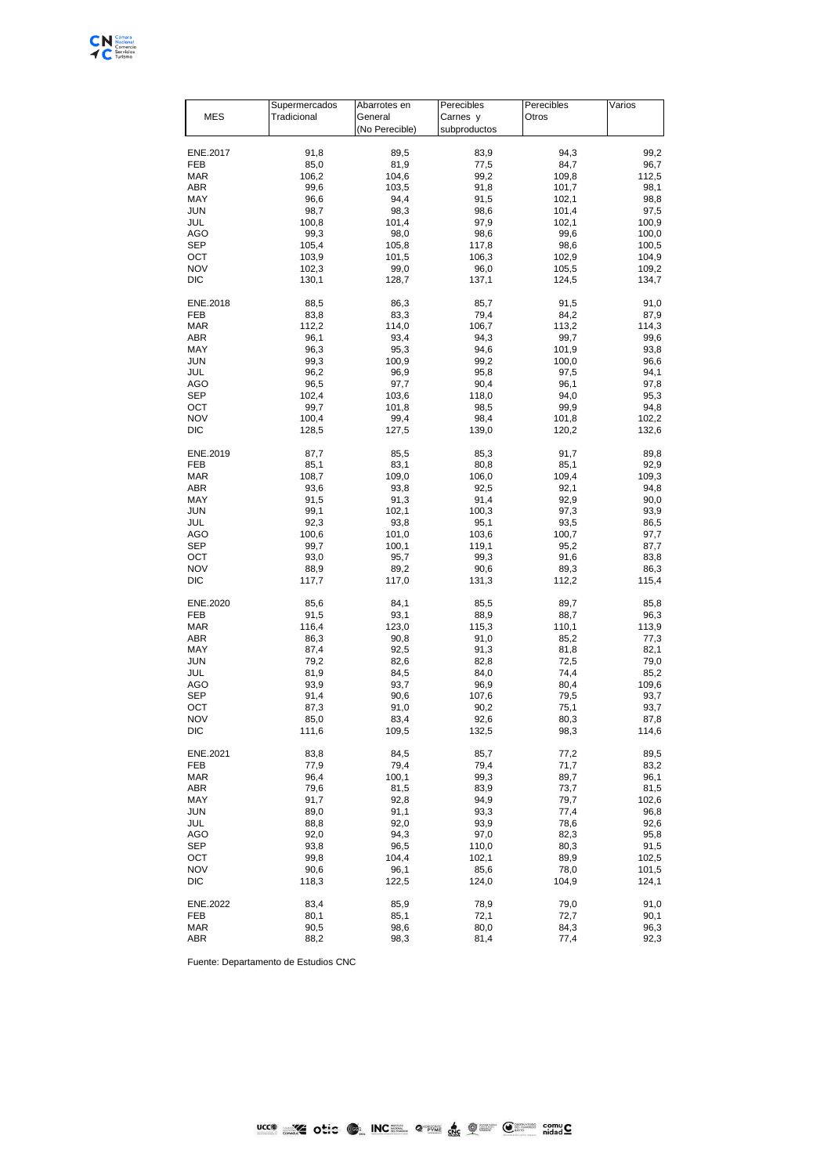

|                   | Supermercados  | Abarrotes en   | Perecibles    | Perecibles     | Varios         |
|-------------------|----------------|----------------|---------------|----------------|----------------|
| <b>MES</b>        | Tradicional    | General        | Carnes y      | Otros          |                |
|                   |                | (No Perecible) | subproductos  |                |                |
|                   |                |                |               |                |                |
| ENE.2017          | 91,8           | 89,5           | 83,9          | 94,3           | 99,2           |
| FEB               | 85,0           | 81,9           | 77,5          | 84,7           | 96,7           |
| MAR               | 106,2          | 104,6          | 99,2          | 109,8          | 112,5          |
| ABR               | 99,6           | 103,5          | 91,8          | 101,7          | 98,1           |
| MAY               | 96,6           | 94,4           | 91,5          | 102,1          | 98,8           |
| JUN               | 98,7           | 98,3           | 98,6          | 101,4          | 97,5           |
| JUL               | 100,8          | 101,4          | 97,9          | 102,1          | 100,9          |
| AGO               | 99,3           | 98,0           | 98,6          | 99,6           | 100,0          |
| SEP               | 105,4          | 105,8          | 117,8         | 98,6           | 100,5          |
| ОСТ               | 103,9          | 101,5          | 106,3         | 102,9          | 104,9          |
| NOV               | 102,3          | 99,0           | 96,0          | 105,5          | 109,2          |
| DIC               | 130,1          | 128,7          | 137,1         | 124,5          | 134,7          |
| ENE.2018          | 88,5           | 86,3           | 85,7          | 91,5           | 91,0           |
| FEB               | 83,8           | 83,3           | 79,4          | 84,2           | 87,9           |
| <b>MAR</b>        | 112,2          | 114,0          | 106,7         | 113,2          | 114,3          |
| ABR               | 96,1           | 93,4           | 94,3          | 99,7           | 99,6           |
| MAY               | 96,3           | 95,3           | 94,6          | 101,9          | 93,8           |
| JUN               | 99,3           | 100,9          | 99,2          | 100,0          | 96,6           |
|                   | 96,2           | 96,9           |               |                |                |
| JUL               |                |                | 95,8          | 97,5           | 94,1           |
| AGO               | 96,5           | 97,7           | 90,4          | 96,1           | 97,8           |
| SEP               | 102,4          | 103,6          | 118,0         | 94,0           | 95,3           |
| OCT               | 99,7           | 101,8          | 98,5          | 99,9           | 94,8           |
| <b>NOV</b><br>DIC | 100,4<br>128,5 | 99,4<br>127,5  | 98,4<br>139,0 | 101,8<br>120,2 | 102,2<br>132,6 |
|                   |                |                |               |                |                |
| ENE.2019          | 87,7           | 85,5           | 85,3          | 91,7           | 89,8           |
| FEB               | 85,1           | 83,1           | 80,8          | 85,1           | 92,9           |
| <b>MAR</b>        | 108,7          | 109,0          | 106,0         | 109,4          | 109,3          |
| ABR               | 93,6           | 93,8           | 92,5          | 92,1           | 94,8           |
| MAY               | 91,5           | 91,3           | 91,4          | 92,9           | 90,0           |
| JUN               | 99,1           | 102,1          | 100,3         | 97,3           | 93,9           |
| JUL               | 92,3           | 93,8           | 95,1          | 93,5           | 86,5           |
| AGO               | 100,6          | 101,0          | 103,6         | 100,7          | 97,7           |
| SEP               | 99,7           | 100,1          | 119,1         | 95,2           | 87,7           |
| ост               | 93,0           | 95,7           | 99,3          | 91,6           | 83,8           |
| <b>NOV</b>        | 88,9           | 89,2           | 90,6          | 89,3           | 86,3           |
| DIC               | 117,7          | 117,0          | 131,3         | 112,2          | 115,4          |
| ENE.2020          | 85,6           | 84,1           | 85,5          | 89,7           | 85,8           |
| FEB               | 91,5           | 93,1           | 88,9          | 88,7           | 96,3           |
| <b>MAR</b>        | 116,4          | 123,0          | 115,3         | 110,1          | 113,9          |
| ABR               | 86,3           | 90,8           | 91,0          | 85,2           | 77,3           |
| MAY               | 87,4           | 92,5           | 91,3          | 81,8           | 82,1           |
| JUN               | 79,2           | 82,6           | 82,8          | 72,5           | 79,0           |
| JUL               | 81,9           | 84,5           | 84,0          | 74,4           | 85,2           |
| AGO               | 93,9           | 93,7           | 96,9          | 80,4           | 109,6          |
| SEP               | 91,4           | 90,6           | 107,6         | 79,5           | 93,7           |
| ост               | 87,3           | 91,0           | 90,2          | 75,1           | 93,7           |
| <b>NOV</b>        | 85,0           | 83,4           | 92,6          | 80,3           | 87,8           |
| DIC               | 111,6          | 109,5          | 132,5         | 98,3           | 114,6          |
|                   |                |                |               |                |                |
| ENE.2021          | 83,8           | 84,5           | 85,7          | 77,2           | 89,5           |
| FEB               | 77,9           | 79,4           | 79,4          | 71,7           | 83,2           |
| MAR               | 96,4           | 100,1          | 99,3          | 89,7           | 96,1           |
| ABR               | 79,6           | 81,5           | 83,9          | 73,7           | 81,5           |
| MAY               | 91,7           | 92,8           | 94,9          | 79,7           | 102,6          |
| JUN               | 89,0           | 91,1           | 93,3          | 77,4           | 96,8           |
| JUL               | 88,8           | 92,0           | 93,9          | 78,6           | 92,6           |
| AGO               | 92,0           | 94,3           | 97,0          | 82,3           | 95,8           |
| SEP               | 93,8           | 96,5           | 110,0         | 80,3           | 91,5           |
| ост               | 99,8           | 104,4          | 102,1         | 89,9           | 102,5          |
| <b>NOV</b>        | 90,6           | 96,1           | 85,6          | 78,0           | 101,5          |
| DIC               | 118,3          | 122,5          | 124,0         | 104,9          | 124,1          |
| ENE.2022          | 83,4           | 85,9           | 78,9          | 79,0           | 91,0           |
| FEB               | 80,1           | 85,1           | 72,1          | 72,7           | 90,1           |
| MAR               | 90,5           | 98,6           | 80,0          | 84,3           | 96,3           |
| ABR               | 88,2           | 98,3           | 81,4          | 77,4           | 92,3           |
|                   |                |                |               |                |                |

Fuente: Departamento de Estudios CNC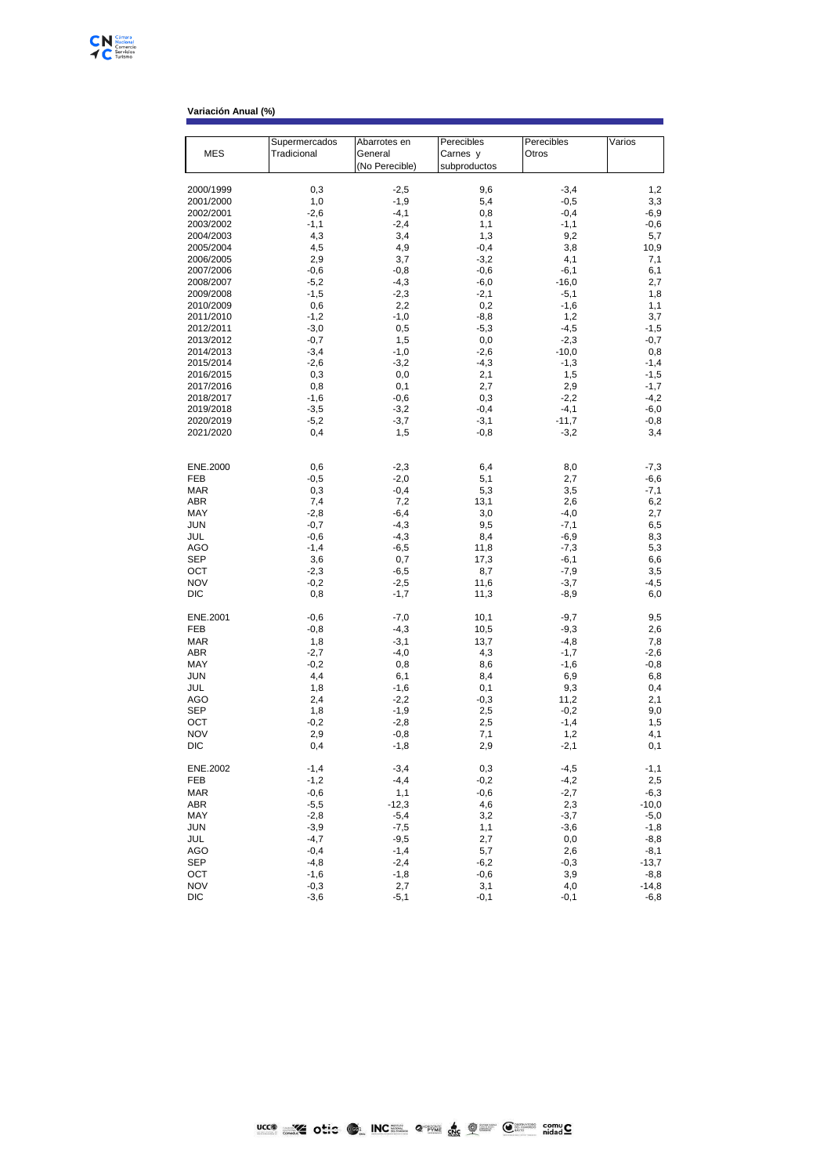| <b>MES</b>             | Supermercados<br>Tradicional | Abarrotes en<br>General | Perecibles<br>Carnes y | Perecibles<br>Otros | Varios            |
|------------------------|------------------------------|-------------------------|------------------------|---------------------|-------------------|
|                        |                              | (No Perecible)          | subproductos           |                     |                   |
| 2000/1999              | 0,3                          | $-2,5$                  | 9,6                    | $-3,4$              | 1,2               |
| 2001/2000              | 1,0                          | $-1,9$                  | 5,4                    | $-0,5$              | 3,3               |
| 2002/2001              | $-2,6$                       | $-4,1$                  | 0,8                    | $-0,4$              | $-6,9$            |
| 2003/2002              | $-1,1$                       | $-2,4$                  | 1,1                    | $-1,1$              | $-0,6$            |
| 2004/2003              | 4,3                          | 3,4                     | 1,3                    | 9,2                 | 5,7               |
| 2005/2004              | 4,5                          | 4,9                     | $-0,4$                 | 3,8                 | 10,9              |
| 2006/2005              | 2,9                          | 3,7                     | $-3,2$                 | 4,1                 | 7,1               |
| 2007/2006              | $-0,6$                       | $-0,8$                  | $-0,6$                 | $-6,1$              | 6,1               |
| 2008/2007              | $-5,2$                       | $-4,3$                  | $-6,0$                 | $-16,0$             | 2,7               |
| 2009/2008              | $-1,5$                       | $-2,3$                  | $-2,1$                 | $-5,1$              | 1,8               |
| 2010/2009              | 0,6                          | 2,2                     | 0,2                    | $-1,6$              | 1,1               |
| 2011/2010              | $-1,2$                       | $-1,0$                  | $-8,8$                 | 1,2                 | 3,7               |
| 2012/2011              | $-3,0$                       | 0,5                     | $-5,3$                 | $-4,5$              | $-1,5$            |
| 2013/2012              | $-0,7$                       | 1,5                     | $_{0,0}$               | $-2,3$              | $-0,7$            |
| 2014/2013              | $-3,4$                       | $-1,0$                  | $-2,6$                 | $-10,0$             | 0,8               |
| 2015/2014              | $-2,6$                       | $-3,2$                  | $-4,3$                 | $-1,3$              | $-1,4$            |
| 2016/2015              | 0,3                          | 0,0                     | 2,1                    | 1,5                 | $-1,5$            |
| 2017/2016              | 0,8                          | 0,1                     | 2,7<br>0,3             | 2,9<br>$-2,2$       | $-1,7$<br>$-4,2$  |
| 2018/2017<br>2019/2018 | $-1,6$<br>$-3,5$             | $-0,6$<br>$-3,2$        | $-0,4$                 | $-4,1$              | $-6,0$            |
| 2020/2019              | $-5,2$                       | $-3,7$                  | $-3,1$                 | $-11,7$             | $-0,8$            |
| 2021/2020              | 0,4                          | 1,5                     | $-0,8$                 | $-3,2$              | 3,4               |
|                        |                              |                         |                        |                     |                   |
| ENE.2000               | 0,6                          | $-2,3$                  | 6,4                    | 8,0                 | $-7,3$            |
| FEB                    | $-0,5$                       | $-2,0$                  | 5,1                    | 2,7                 | -6,6              |
| <b>MAR</b>             | 0,3                          | $-0,4$                  | 5,3                    | 3,5                 | $-7,1$            |
| ABR                    | 7,4                          | 7,2                     | 13,1                   | 2,6                 | 6,2               |
| MAY                    | $-2,8$                       | $-6,4$                  | 3,0                    | $-4,0$              | 2,7               |
| JUN                    | $-0,7$                       | $-4,3$                  | 9,5                    | $-7,1$              | 6,5               |
| JUL                    | $-0,6$                       | $-4,3$                  | 8,4                    | $-6,9$              | 8,3               |
| AGO                    | $-1,4$                       | $-6,5$                  | 11,8                   | $-7,3$              | 5,3               |
| SEP<br>OCT             | 3,6<br>$-2,3$                | 0,7<br>$-6,5$           | 17,3<br>8,7            | $-6,1$<br>$-7,9$    | 6,6<br>3,5        |
| <b>NOV</b>             | $-0,2$                       | $-2,5$                  | 11,6                   | $-3,7$              | $-4,5$            |
| DIC                    | 0,8                          | $-1,7$                  | 11,3                   | $-8,9$              | 6,0               |
| ENE.2001               | $-0,6$                       | $-7,0$                  | 10,1                   | $-9,7$              | 9,5               |
| FEB                    | $-0,8$                       | $-4,3$                  | 10,5                   | $-9,3$              | 2,6               |
| <b>MAR</b>             | 1,8                          | $-3,1$                  | 13,7                   | $-4,8$              | 7,8               |
| ABR                    | $-2,7$                       | $-4,0$                  | 4,3                    | $-1,7$              | $-2,6$            |
| MAY                    | $-0,2$                       | 0,8                     | 8,6                    | $-1,6$              | -0,8              |
| <b>JUN</b>             | 4,4                          | 6,1                     | 8,4                    | 6,9                 | 6,8               |
| JUL                    | 1,8                          | $-1,6$                  | 0,1                    | 9,3                 | 0,4               |
| AGO                    | 2,4                          | $-2,2$                  | $-0,3$                 | 11,2                | 2,1               |
| SEP<br>OCT             | 1,8                          | $-1,9$                  | 2,5                    | $-0,2$<br>$-1,4$    | 9,0               |
| <b>NOV</b>             | $-0,2$<br>2,9                | $-2,8$<br>$-0,8$        | 2,5<br>7,1             | 1,2                 | 1,5<br>4,1        |
| DIC                    | 0,4                          | $-1,8$                  | 2,9                    | $-2,1$              | 0,1               |
| ENE.2002               | $-1,4$                       | $-3,4$                  | 0,3                    | $-4,5$              | $-1,1$            |
| FEB                    | $-1,2$                       | $-4,4$                  | $-0,2$                 | $-4,2$              | 2,5               |
| <b>MAR</b>             | $-0,6$                       | 1,1                     | $-0,6$                 | $-2,7$              | $-6,3$            |
| ABR                    | $-5,5$                       | $-12,3$                 | 4,6                    | 2,3                 | $-10,0$           |
| MAY                    | $-2,8$                       | $-5,4$                  | 3,2                    | $-3,7$              | $-5,0$            |
| JUN                    | $-3,9$                       | $-7,5$                  | 1,1                    | $-3,6$              | $-1,8$            |
| JUL                    | $-4,7$                       | $-9,5$                  | 2,7                    | 0,0                 | $-8,8$            |
| AGO                    | $-0,4$                       | $-1,4$                  | 5,7                    | 2,6                 | $-8,1$            |
| SEP                    | $-4,8$                       | $-2,4$                  | $-6,2$                 | $-0,3$              | $-13,7$           |
| OCT<br><b>NOV</b>      | $-1,6$                       | $-1,8$<br>2,7           | $-0,6$                 | 3,9                 | $-8,8$            |
| DIC                    | $-0,3$<br>$-3,6$             |                         | 3,1                    | 4,0                 | $-14,8$<br>$-6,8$ |
|                        |                              | $-5,1$                  | $-0,1$                 | $-0,1$              |                   |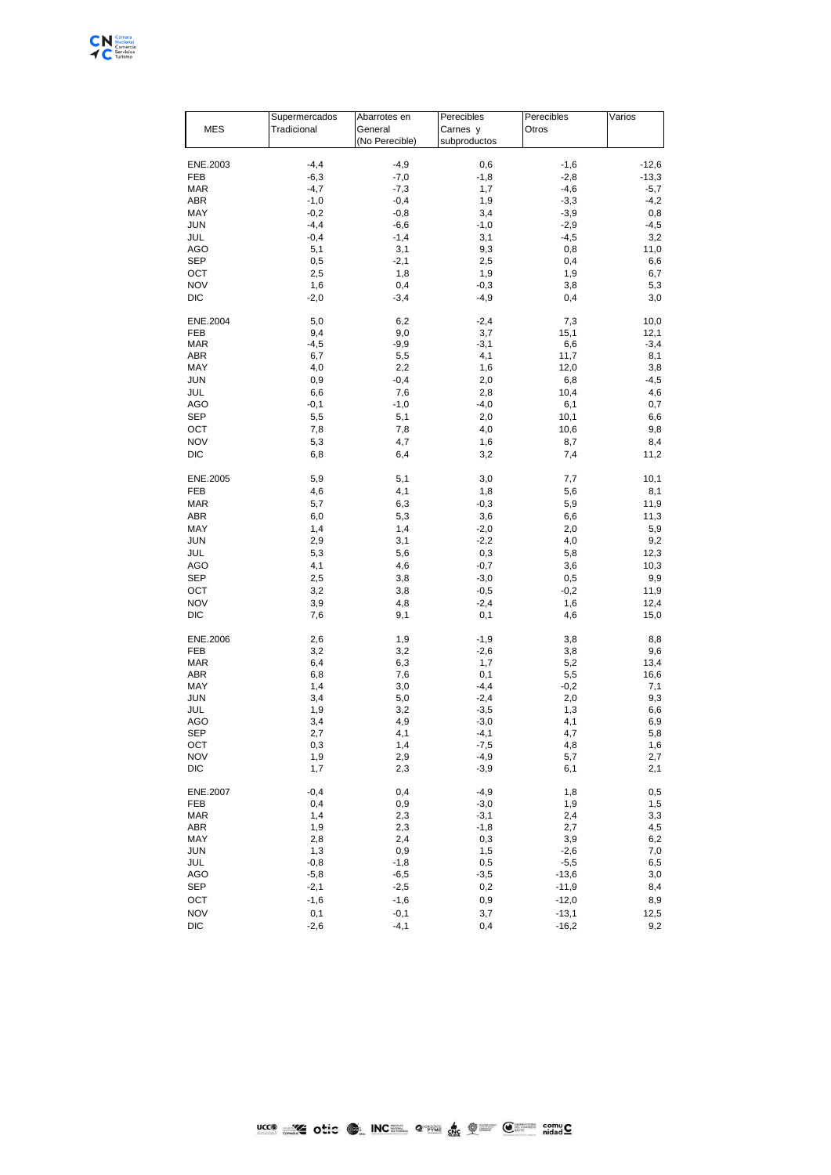

|                 | Supermercados | Abarrotes en   | Perecibles   | Perecibles | Varios  |
|-----------------|---------------|----------------|--------------|------------|---------|
| <b>MES</b>      | Tradicional   | General        | Carnes y     | Otros      |         |
|                 |               | (No Perecible) | subproductos |            |         |
|                 |               |                |              |            |         |
| ENE.2003        | $-4,4$        | $-4,9$         | 0,6          | $-1,6$     | $-12,6$ |
| FEB             | $-6,3$        | $-7,0$         | $-1,8$       | $-2,8$     | $-13,3$ |
| <b>MAR</b>      | $-4,7$        | $-7,3$         | 1,7          | $-4,6$     | $-5,7$  |
| <b>ABR</b>      | $-1,0$        | $-0,4$         | 1,9          | $-3,3$     | $-4,2$  |
| MAY             | $-0,2$        | $-0,8$         | 3,4          | $-3,9$     | 0,8     |
| <b>JUN</b>      | $-4,4$        | $-6,6$         | $-1,0$       | $-2,9$     | $-4,5$  |
| JUL             | $-0,4$        | $-1,4$         | 3,1          | $-4,5$     | 3,2     |
| AGO             | 5,1           | 3,1            | 9,3          | 0,8        | 11,0    |
| <b>SEP</b>      | 0,5           | $-2,1$         | 2,5          | 0,4        | 6,6     |
|                 |               |                |              |            |         |
| OCT             | 2,5           | 1,8            | 1,9          | 1,9        | 6,7     |
| <b>NOV</b>      | 1,6           | 0,4            | $-0,3$       | 3,8        | 5,3     |
| <b>DIC</b>      | $-2,0$        | $-3,4$         | $-4,9$       | 0,4        | 3,0     |
| ENE.2004        | 5,0           | 6,2            | $-2,4$       | 7,3        | 10,0    |
| FEB             | 9,4           | 9,0            | 3,7          | 15,1       | 12,1    |
| <b>MAR</b>      | $-4,5$        | $-9,9$         | $-3,1$       | 6,6        | $-3,4$  |
| <b>ABR</b>      | 6,7           | 5,5            | 4,1          | 11,7       | 8,1     |
| MAY             | 4,0           | 2,2            | 1,6          | 12,0       | 3,8     |
| <b>JUN</b>      | 0,9           | $-0,4$         | 2,0          | 6,8        | $-4,5$  |
|                 |               |                |              |            |         |
| JUL             | 6,6           | 7,6            | 2,8          | 10,4       | 4,6     |
| AGO             | $-0,1$        | $-1,0$         | $-4,0$       | 6,1        | 0,7     |
| <b>SEP</b>      | 5,5           | 5,1            | 2,0          | 10,1       | 6,6     |
| OCT             | 7,8           | 7,8            | 4,0          | 10,6       | 9,8     |
| <b>NOV</b>      | 5,3           | 4,7            | 1,6          | 8,7        | 8,4     |
| <b>DIC</b>      | 6,8           | 6,4            | 3,2          | 7,4        | 11,2    |
| ENE.2005        | 5,9           | 5,1            | 3,0          | 7,7        | 10,1    |
|                 |               |                |              |            |         |
| FEB             | 4,6           | 4,1            | 1,8          | 5,6        | 8,1     |
| <b>MAR</b>      | 5,7           | 6,3            | $-0,3$       | 5,9        | 11,9    |
| <b>ABR</b>      | 6,0           | 5,3            | 3,6          | 6,6        | 11,3    |
| MAY             | 1,4           | 1,4            | $-2,0$       | 2,0        | 5,9     |
| <b>JUN</b>      | 2,9           | 3,1            | $-2,2$       | 4,0        | 9,2     |
| JUL             | 5,3           | 5,6            | 0,3          | 5,8        | 12,3    |
| AGO             | 4,1           | 4,6            | $-0,7$       | 3,6        | 10,3    |
| SEP             | 2,5           | 3,8            | $-3,0$       | 0,5        | 9,9     |
| OCT             | 3,2           | 3,8            | $-0,5$       | $-0,2$     | 11,9    |
| <b>NOV</b>      | 3,9           | 4,8            | $-2,4$       | 1,6        | 12,4    |
|                 |               |                |              |            |         |
| <b>DIC</b>      | 7,6           | 9,1            | 0,1          | 4,6        | 15,0    |
| ENE.2006        | 2,6           | 1,9            | $-1,9$       | 3,8        | 8,8     |
| FEB             | 3,2           | 3,2            | $-2,6$       | 3,8        | 9,6     |
| <b>MAR</b>      | 6,4           | 6,3            | 1,7          | 5,2        | 13,4    |
| <b>ABR</b>      | 6,8           | 7,6            | 0,1          | 5,5        | 16,6    |
| MAY             | 1,4           | 3,0            | $-4,4$       | $-0,2$     | 7,1     |
| <b>JUN</b>      | 3,4           | 5,0            | $-2,4$       | 2,0        | 9,3     |
| JUL             | 1,9           | 3,2            | $-3,5$       | 1,3        | 6,6     |
| <b>AGO</b>      | 3,4           | 4,9            | $-3,0$       | 4,1        | 6,9     |
| <b>SEP</b>      | 2,7           | 4,1            | $-4,1$       | 4,7        | 5,8     |
| OCT             | 0,3           | 1,4            | $-7,5$       | 4,8        | 1,6     |
| <b>NOV</b>      | 1,9           | 2,9            | $-4,9$       | 5,7        | 2,7     |
| DIC             | 1,7           | 2,3            | $-3,9$       | 6,1        | 2,1     |
|                 |               |                |              |            |         |
| <b>ENE.2007</b> | $-0,4$        | 0,4            | $-4,9$       | 1,8        | 0,5     |
| FEB             | 0,4           | 0,9            | $-3,0$       | 1,9        | 1,5     |
| <b>MAR</b>      | 1,4           | 2,3            | $-3,1$       | 2,4        | 3,3     |
| ABR             | 1,9           | 2,3            | $-1,8$       | 2,7        | 4,5     |
| MAY             | 2,8           | 2,4            | 0,3          | 3,9        | 6,2     |
| <b>JUN</b>      | 1,3           | 0,9            | 1,5          | $-2,6$     | 7,0     |
| JUL             | $-0,8$        | $-1,8$         | 0,5          | $-5,5$     | 6,5     |
| AGO             | $-5,8$        | $-6,5$         | -3,5         | $-13,6$    | 3,0     |
| <b>SEP</b>      | $-2,1$        | $-2,5$         | 0,2          | $-11,9$    | 8,4     |
| OCT             | $-1,6$        | $-1,6$         | 0,9          | $-12,0$    | 8,9     |
|                 |               |                |              |            |         |
| <b>NOV</b>      | 0,1           | $-0,1$         | 3,7          | $-13,1$    | 12,5    |
| $_{\rm DIC}$    | $-2,6$        | $-4,1$         | 0,4          | $-16,2$    | 9,2     |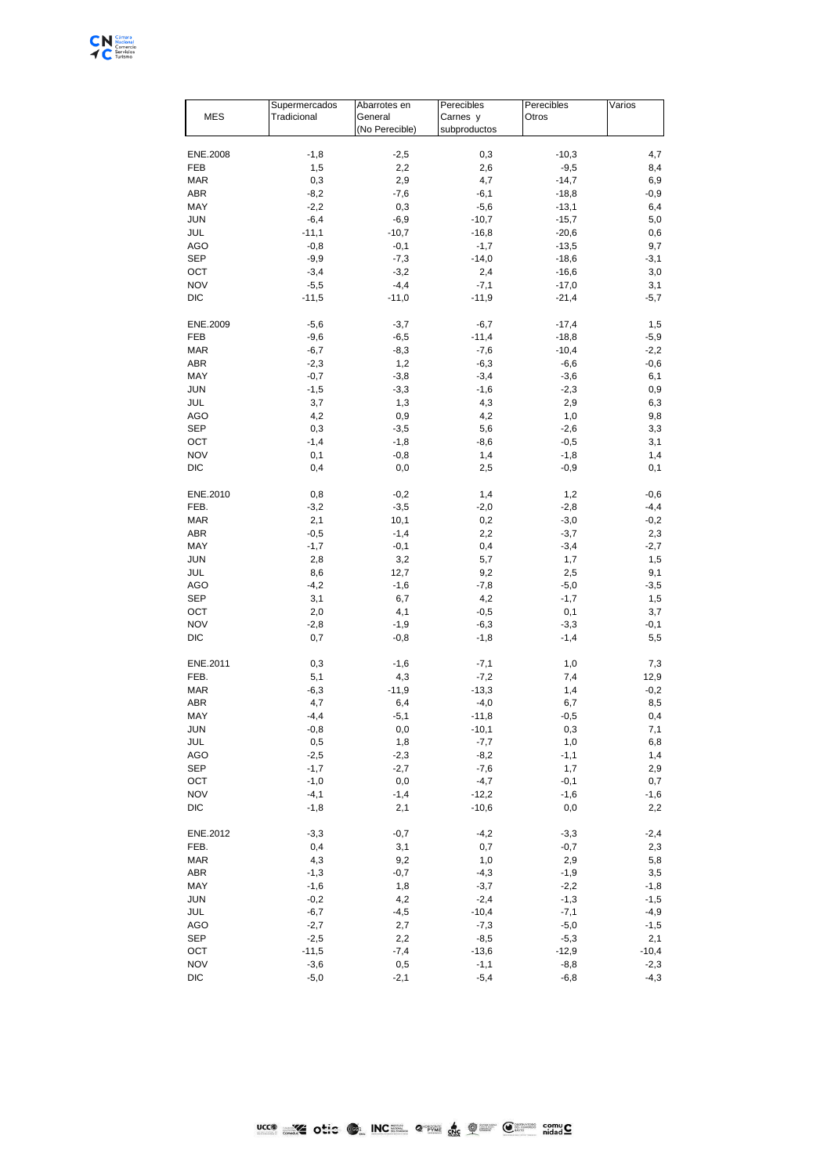

|            | Supermercados | Abarrotes en   | Perecibles   | Perecibles | Varios  |
|------------|---------------|----------------|--------------|------------|---------|
| <b>MES</b> | Tradicional   | General        | Carnes y     | Otros      |         |
|            |               | (No Perecible) | subproductos |            |         |
|            |               |                |              |            |         |
| ENE.2008   | $-1,8$        | $-2,5$         | 0,3          | $-10,3$    | 4,7     |
| FEB        | 1,5           | 2,2            | 2,6          | $-9,5$     | 8,4     |
| <b>MAR</b> | 0,3           | 2,9            | 4,7          | $-14,7$    | 6,9     |
| ABR        | $-8,2$        | $-7,6$         | $-6,1$       | $-18,8$    | $-0,9$  |
| MAY        | $-2,2$        | 0,3            | $-5,6$       | $-13,1$    | 6,4     |
| <b>JUN</b> | $-6,4$        | $-6,9$         | $-10,7$      | $-15,7$    | 5,0     |
| JUL        | $-11,1$       | $-10,7$        | $-16,8$      | $-20,6$    | 0,6     |
| AGO        | $-0,8$        | $-0,1$         | $-1,7$       | $-13,5$    | 9,7     |
| SEP        | $-9,9$        | $-7,3$         | $-14,0$      | $-18,6$    | $-3,1$  |
| OCT        | $-3,4$        | $-3,2$         | 2,4          | $-16,6$    | 3,0     |
| <b>NOV</b> | $-5,5$        | $-4,4$         | $-7,1$       | $-17,0$    | 3,1     |
| DIC        | $-11,5$       | $-11,0$        | $-11,9$      | $-21,4$    | $-5,7$  |
| ENE.2009   | $-5,6$        | $-3,7$         | $-6,7$       | $-17,4$    | 1,5     |
| FEB        | $-9,6$        | $-6,5$         | $-11,4$      | $-18,8$    | $-5,9$  |
| <b>MAR</b> | $-6,7$        | $-8,3$         | $-7,6$       | $-10,4$    | $-2,2$  |
| ABR        | $-2,3$        | 1,2            | $-6,3$       | $-6,6$     | $-0,6$  |
| MAY        | $-0,7$        | $-3,8$         | $-3,4$       | $-3,6$     | 6,1     |
| <b>JUN</b> | $-1,5$        | $-3,3$         | $-1,6$       | $-2,3$     | 0,9     |
| JUL        | 3,7           | 1,3            | 4,3          | 2,9        | 6,3     |
| AGO        | 4,2           | 0,9            | 4,2          | 1,0        | 9,8     |
| SEP        | 0,3           | $-3,5$         | 5,6          | $-2,6$     | 3,3     |
| ОСТ        | $-1,4$        | $-1,8$         | $-8,6$       | $-0,5$     | 3,1     |
| <b>NOV</b> | 0,1           | $-0,8$         | 1,4          | $-1,8$     | 1,4     |
| DIC        | 0,4           | 0,0            | 2,5          | $-0,9$     | 0,1     |
|            |               |                |              |            |         |
| ENE.2010   | 0,8           | $-0,2$         | 1,4          | 1,2        | $-0,6$  |
| FEB.       | $-3,2$        | $-3,5$         | $-2,0$       | $-2,8$     | $-4,4$  |
| <b>MAR</b> | 2,1           | 10,1           | 0,2          | $-3,0$     | $-0,2$  |
| ABR        | $-0,5$        | $-1,4$         | 2,2          | $-3,7$     | 2,3     |
| MAY        | $-1,7$        | $-0,1$         | 0,4          | $-3,4$     | $-2,7$  |
| JUN        | 2,8           | 3,2            | 5,7          | 1,7        | 1,5     |
| JUL        | 8,6           | 12,7           | 9,2          | 2,5        | 9,1     |
| AGO        | $-4,2$        | $-1,6$         | $-7,8$       | $-5,0$     | $-3,5$  |
| SEP        | 3,1           | 6,7            | 4,2          | $-1,7$     | 1,5     |
| OCT        | 2,0           | 4,1            | $-0,5$       | 0,1        | 3,7     |
| <b>NOV</b> | $-2,8$        | $-1,9$         | -6,3         | $-3,3$     | $-0,1$  |
| <b>DIC</b> | 0,7           | $-0,8$         | $-1,8$       | $-1,4$     | 5,5     |
| ENE.2011   | 0,3           | $-1,6$         | $-7,1$       | 1,0        | 7,3     |
| FEB.       | 5,1           | 4,3            | $-7,2$       | 7,4        | 12,9    |
| <b>MAR</b> | $-6,3$        | $-11,9$        | $-13,3$      | 1,4        | $-0,2$  |
| ABR        | 4,7           | 6,4            | $-4,0$       | 6,7        | 8,5     |
| MAY        | $-4,4$        | $-5,1$         | $-11,8$      | $-0,5$     | 0,4     |
| <b>JUN</b> | $-0,8$        | 0,0            | $-10,1$      | 0,3        | 7,1     |
| JUL        | 0,5           | 1,8            | $-7,7$       | 1,0        | 6,8     |
| AGO        | $-2,5$        | $-2,3$         | $-8,2$       | $-1,1$     | 1,4     |
| SEP        | $-1,7$        | $-2,7$         | $-7,6$       | 1,7        | 2,9     |
| ОСТ        | $-1,0$        | 0,0            | $-4,7$       | $-0,1$     | 0,7     |
| <b>NOV</b> | $-4,1$        | $-1,4$         | $-12,2$      | $-1,6$     | $-1,6$  |
| DIC        | $-1,8$        | 2,1            | $-10,6$      | 0,0        | 2,2     |
| ENE.2012   | $-3,3$        | $-0,7$         | $-4,2$       | $-3,3$     | $-2,4$  |
| FEB.       | 0,4           | 3,1            | $0,\!7$      | $-0,7$     | 2,3     |
| <b>MAR</b> | 4,3           | 9,2            | 1,0          | 2,9        | 5,8     |
| ABR        | $-1,3$        | $-0,7$         | $-4,3$       | $-1,9$     | 3,5     |
| MAY        | $-1,6$        | 1,8            | $-3,7$       | $-2,2$     | $-1,8$  |
| <b>JUN</b> | $-0,2$        | 4,2            | $-2,4$       | $-1,3$     | $-1,5$  |
| JUL        | $-6,7$        | $-4,5$         | $-10,4$      | $-7,1$     | $-4,9$  |
| AGO        | $-2,7$        | 2,7            | $-7,3$       | $-5,0$     | $-1,5$  |
| SEP        | $-2,5$        | 2,2            | $-8,5$       | $-5,3$     | 2,1     |
| ОСТ        | $-11,5$       | $-7,4$         | $-13,6$      | $-12,9$    | $-10,4$ |
| <b>NOV</b> | $-3,6$        | 0,5            | $-1,1$       | $-8,8$     | $-2,3$  |
| DIC        | $-5,0$        | $-2,1$         | $-5,4$       |            | $-4,3$  |
|            |               |                |              | $-6,8$     |         |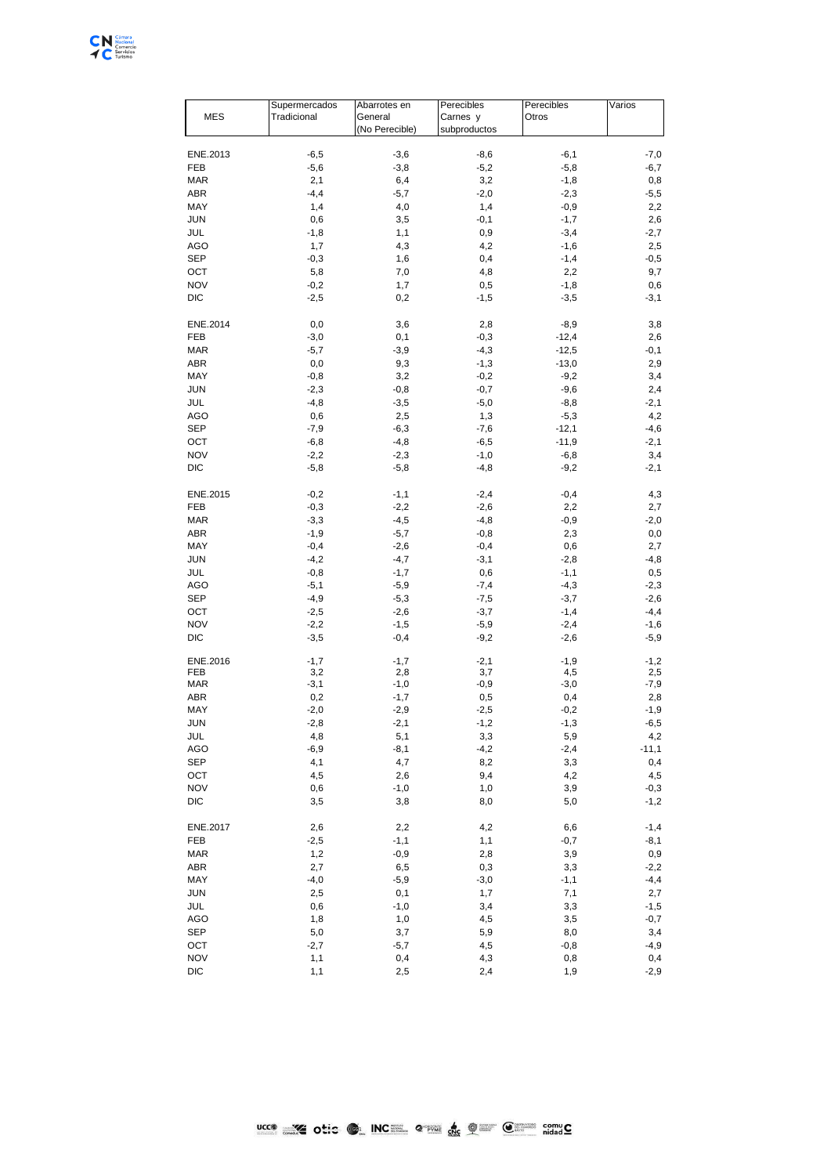

|                   | Supermercados | Abarrotes en   | Perecibles    | Perecibles    | Varios      |
|-------------------|---------------|----------------|---------------|---------------|-------------|
| <b>MES</b>        | Tradicional   | General        | Carnes y      | Otros         |             |
|                   |               | (No Perecible) | subproductos  |               |             |
|                   |               |                |               |               |             |
| ENE.2013          | $-6,5$        | $-3,6$         | $-8,6$        | $-6,1$        | $-7,0$      |
| FEB               | $-5,6$        | $-3,8$         | $-5,2$        | $-5,8$        | $-6,7$      |
| <b>MAR</b>        | 2,1           | 6,4            | 3,2           | $-1,8$        | 0,8         |
| ABR               | $-4,4$        | $-5,7$         | $-2,0$        | $-2,3$        | $-5,5$      |
| MAY               | 1,4           | 4,0            | 1,4           | $-0,9$        | 2,2         |
| <b>JUN</b>        | 0,6           | 3,5            | $-0,1$        | $-1,7$        | 2,6         |
| JUL               | $-1,8$        | 1,1            | 0,9           | $-3,4$        | $-2,7$      |
| AGO               | 1,7           | 4,3            | 4,2           | $-1,6$        | 2,5         |
| <b>SEP</b>        | $-0,3$        | 1,6            | 0,4           | $-1,4$        | $-0,5$      |
| OCT               | 5,8           | 7,0            | 4,8           | 2,2           | 9,7         |
| <b>NOV</b>        | $-0,2$        | 1,7            | 0,5           | $-1,8$        | 0,6         |
| DIC               | $-2,5$        | 0,2            | $-1,5$        | $-3,5$        | $-3,1$      |
|                   |               |                |               |               |             |
| ENE.2014          | 0,0           | 3,6            | 2,8           | $-8,9$        | 3,8         |
| FEB               | $-3,0$        | 0,1            | $-0,3$        | $-12,4$       | 2,6         |
|                   |               |                |               |               |             |
| <b>MAR</b>        | $-5,7$        | $-3,9$         | $-4,3$        | $-12,5$       | -0,1        |
| ABR               | 0,0           | 9,3            | $-1,3$        | $-13,0$       | 2,9         |
| MAY               | $-0,8$        | 3,2            | $-0,2$        | $-9,2$        | 3,4         |
| <b>JUN</b>        | $-2,3$        | $-0,8$         | $-0,7$        | $-9,6$        | 2,4         |
| JUL               | $-4,8$        | $-3,5$         | $-5,0$        | $-8,8$        | $-2,1$      |
| AGO               | 0,6           | 2,5            | 1,3           | $-5,3$        | 4,2         |
| <b>SEP</b>        | $-7,9$        | $-6,3$         | $-7,6$        | $-12,1$       | $-4,6$      |
| OCT               | $-6,8$        | $-4,8$         | $-6,5$        | $-11,9$       | $-2,1$      |
| <b>NOV</b>        | $-2,2$        | $-2,3$         | $-1,0$        | $-6,8$        | 3,4         |
| <b>DIC</b>        | $-5,8$        | $-5,8$         | $-4,8$        | $-9,2$        | $-2,1$      |
|                   |               |                |               |               |             |
| ENE.2015          | $-0,2$        | $-1,1$         | $-2,4$        | $-0,4$        | 4,3         |
| FEB               | $-0,3$        | $-2,2$         | $-2,6$        | 2,2           | 2,7         |
| <b>MAR</b>        | $-3,3$        | $-4,5$         | $-4,8$        | $-0,9$        | $-2,0$      |
| ABR               | $-1,9$        | $-5,7$         | $-0,8$        | 2,3           | 0,0         |
| MAY               | $-0,4$        | $-2,6$         | $-0,4$        | 0,6           | 2,7         |
| <b>JUN</b>        |               | $-4,7$         |               |               |             |
|                   | $-4,2$        |                | $-3,1$        | $-2,8$        | $-4,8$      |
| JUL               | $-0,8$        | $-1,7$         | 0,6           | $-1,1$        | 0,5         |
| <b>AGO</b>        | $-5,1$        | $-5,9$         | $-7,4$        | $-4,3$        | $-2,3$      |
| <b>SEP</b>        | $-4,9$        | $-5,3$         | $-7,5$        | $-3,7$        | $-2,6$      |
| OCT               | $-2,5$        | $-2,6$         | $-3,7$        | $-1,4$        | $-4,4$      |
| <b>NOV</b>        | $-2,2$        | $-1,5$         | $-5,9$        | $-2,4$        | $-1,6$      |
| <b>DIC</b>        | $-3,5$        | $-0,4$         | $-9,2$        | $-2,6$        | $-5,9$      |
|                   |               |                |               |               |             |
| ENE.2016          | $-1,7$        | $-1,7$         | $-2,1$        | $-1,9$        | $-1,2$      |
| FEB<br><b>MAR</b> | 3,2<br>$-3,1$ | 2,8<br>$-1,0$  | 3,7<br>$-0,9$ | 4,5<br>$-3,0$ | 2,5<br>-7,9 |
|                   |               |                |               |               |             |
| ABR               | 0,2           | $-1,7$         | 0,5           | 0,4           | 2,8         |
| MAY               | $-2,0$        | $-2,9$         | $-2,5$        | $-0,2$        | $-1,9$      |
| <b>JUN</b>        | $-2,8$        | $-2,1$         | $-1,2$        | $-1,3$        | $-6,5$      |
| JUL               | 4,8           | 5,1            | 3,3           | 5,9           | 4,2         |
| <b>AGO</b>        | $-6,9$        | $-8,1$         | $-4,2$        | $-2,4$        | $-11,1$     |
| <b>SEP</b>        | 4,1           | 4,7            | 8,2           | 3,3           | 0,4         |
| OCT               | 4,5           | 2,6            | 9,4           | 4,2           | 4,5         |
| <b>NOV</b>        | 0,6           | $-1,0$         | 1,0           | 3,9           | $-0,3$      |
| DIC               | 3,5           | 3,8            | 8,0           | 5,0           | $-1,2$      |
|                   |               |                |               |               |             |
| ENE.2017          | 2,6           | 2,2            | 4,2           | 6,6           | $-1,4$      |
| FEB               | $-2,5$        | $-1,1$         | 1,1           | $-0,7$        | $-8,1$      |
| MAR               | 1,2           | $-0,9$         | 2,8           | 3,9           | 0,9         |
| <b>ABR</b>        | 2,7           | 6,5            | 0,3           | 3,3           | $-2,2$      |
| MAY               | $-4,0$        | $-5,9$         | $-3,0$        | $-1,1$        | $-4,4$      |
| <b>JUN</b>        | 2,5           | 0,1            | 1,7           | 7,1           | 2,7         |
| JUL               | 0,6           | $-1,0$         | 3,4           | 3,3           | $-1,5$      |
| <b>AGO</b>        | 1,8           | 1,0            | 4,5           | 3,5           | $-0,7$      |
| <b>SEP</b>        | 5,0           | 3,7            | 5,9           | 8,0           | 3,4         |
|                   |               |                |               |               |             |
| OCT               | $-2,7$        | $-5,7$         | 4,5           | $-0,8$        | -4,9        |
| <b>NOV</b>        | 1,1           | 0,4            | 4,3           | 0,8           | 0,4         |
| DIC               | 1,1           | 2,5            | 2,4           | 1,9           | $-2,9$      |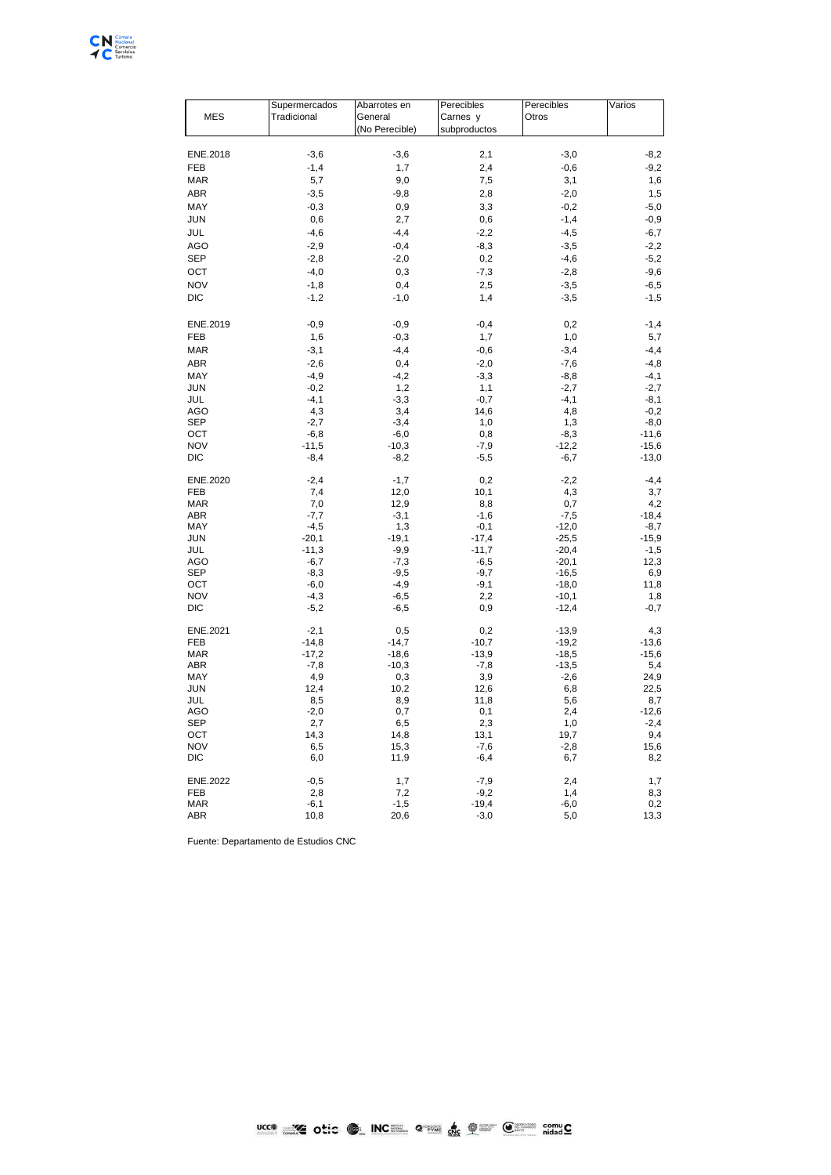

| <b>MES</b> | Supermercados<br>Tradicional | Abarrotes en<br>General<br>(No Perecible) | Perecibles<br>Carnes y<br>subproductos | Perecibles<br>Otros | Varios            |
|------------|------------------------------|-------------------------------------------|----------------------------------------|---------------------|-------------------|
| ENE.2018   | $-3,6$                       | $-3,6$                                    | 2,1                                    | $-3,0$              | $-8,2$            |
| FEB        | $-1,4$                       | 1,7                                       | 2,4                                    | $-0,6$              | $-9,2$            |
| <b>MAR</b> | 5,7                          | 9,0                                       | 7,5                                    | 3,1                 | 1,6               |
|            |                              |                                           |                                        |                     |                   |
| ABR        | $-3,5$                       | $-9,8$                                    | 2,8                                    | $-2,0$              | 1,5               |
| MAY        | $-0,3$                       | 0,9                                       | 3,3                                    | $-0,2$              | $-5,0$            |
| <b>JUN</b> | 0,6                          | 2,7                                       | 0,6                                    | $-1,4$              | $-0,9$            |
| JUL        | $-4,6$                       | $-4,4$                                    | $-2,2$                                 | $-4,5$              | $-6,7$            |
| AGO        | $-2,9$                       | $-0,4$                                    | $-8,3$                                 | $-3,5$              | $-2,2$            |
| <b>SEP</b> | $-2,8$                       | $-2,0$                                    | 0,2                                    | $-4,6$              | $-5,2$            |
| ОСТ        | $-4,0$                       | 0,3                                       | $-7,3$                                 | $-2,8$              | $-9,6$            |
| <b>NOV</b> | $-1,8$                       | 0,4                                       | 2,5                                    | $-3,5$              | $-6,5$            |
| <b>DIC</b> | $-1,2$                       | $-1,0$                                    | 1,4                                    | $-3,5$              | $-1,5$            |
| ENE.2019   | $-0,9$                       | $-0,9$                                    | $-0,4$                                 | 0,2                 | $-1,4$            |
| FEB        | 1,6                          | $-0,3$                                    | 1,7                                    | 1,0                 | 5,7               |
| <b>MAR</b> | $-3,1$                       | $-4,4$                                    | $-0,6$                                 | $-3,4$              | $-4,4$            |
| ABR        | $-2,6$                       | 0,4                                       | $-2,0$                                 | $-7,6$              | $-4,8$            |
| MAY        | $-4,9$                       | $-4,2$                                    | $-3,3$                                 | $-8,8$              | $-4,1$            |
| JUN        | $-0,2$                       | 1,2                                       | 1,1                                    | $-2,7$              | $-2,7$            |
| JUL        | $-4,1$                       | $-3,3$                                    | $-0,7$                                 | $-4,1$              | $-8,1$            |
| AGO        | 4,3                          | 3,4                                       | 14,6                                   | 4,8                 | $-0,2$            |
| <b>SEP</b> | $-2,7$                       | $-3,4$                                    | 1,0                                    | 1,3                 | $-8,0$            |
| OCT        | $-6,8$                       | $-6,0$                                    | 0,8                                    | $-8,3$              | $-11,6$           |
| <b>NOV</b> | $-11,5$                      | $-10,3$                                   | $-7,9$                                 | $-12,2$             | $-15,6$           |
| DIC        | $-8,4$                       | $-8,2$                                    | $-5,5$                                 | $-6,7$              | $-13,0$           |
| ENE.2020   | $-2,4$                       | $-1,7$                                    | 0,2                                    | $-2,2$              | $-4, 4$           |
| FEB        | 7,4                          | 12,0                                      | 10,1                                   | 4,3                 | 3,7               |
| <b>MAR</b> | 7,0                          | 12,9                                      | 8,8                                    | 0,7                 | 4,2               |
| ABR        | $-7,7$                       | $-3,1$                                    | $-1,6$                                 | $-7,5$              | $-18,4$           |
| MAY        | $-4,5$                       | 1,3                                       | $-0,1$                                 | $-12,0$             | $-8,7$            |
| JUN<br>JUL | $-20,1$<br>$-11,3$           | $-19,1$<br>$-9,9$                         | $-17,4$<br>$-11,7$                     | $-25,5$<br>$-20,4$  | $-15,9$<br>$-1,5$ |
| AGO        | $-6,7$                       | $-7,3$                                    | $-6,5$                                 | $-20,1$             | 12,3              |
| SEP        | $-8,3$                       | $-9,5$                                    | $-9,7$                                 | $-16,5$             | 6,9               |
| ост        | $-6,0$                       | $-4,9$                                    | $-9,1$                                 | $-18,0$             | 11,8              |
| <b>NOV</b> | $-4,3$                       | $-6,5$                                    | 2,2                                    | $-10,1$             | 1,8               |
| DIC        | $-5,2$                       | $-6,5$                                    | 0,9                                    | $-12,4$             | $-0,7$            |
| ENE.2021   | $-2,1$                       | 0,5                                       | 0,2                                    | $-13,9$             | 4,3               |
| FEB        | $-14,8$                      | $-14,7$                                   | $-10,7$                                | $-19,2$             | $-13,6$           |
| <b>MAR</b> | $-17,2$                      | $-18,6$                                   | $-13,9$                                | $-18,5$             | $-15,6$           |
| <b>ABR</b> | $-7,8$                       | $-10,3$                                   | $-7,8$                                 | $-13,5$             | 5,4               |
| MAY        | 4,9                          | 0,3                                       | 3,9                                    | $-2,6$              | 24,9              |
| JUN<br>JUL | 12,4<br>8,5                  | 10,2<br>8,9                               | 12,6<br>11,8                           | 6,8<br>5,6          | 22,5<br>8,7       |
| AGO        | $-2,0$                       | 0,7                                       | 0,1                                    | 2,4                 | $-12,6$           |
| SEP        | 2,7                          | 6,5                                       | 2,3                                    | 1,0                 | $-2,4$            |
| OCT        | 14,3                         | 14,8                                      | 13,1                                   | 19,7                | 9,4               |
| NOV        | 6,5                          | 15,3                                      | $-7,6$                                 | $-2,8$              | 15,6              |
| DIC        | 6,0                          | 11,9                                      | $-6,4$                                 | 6,7                 | 8,2               |
| ENE.2022   | $-0,5$                       | 1,7                                       | $-7,9$                                 | 2,4                 | 1,7               |
| <b>FEB</b> | 2,8                          | 7,2                                       | $-9,2$                                 | 1,4                 | 8,3               |
| <b>MAR</b> | $-6,1$                       | $-1,5$                                    | $-19,4$                                | $-6,0$              | 0,2               |
| ABR        | 10,8                         | 20,6                                      | $-3,0$                                 | 5,0                 | 13,3              |

Fuente: Departamento de Estudios CNC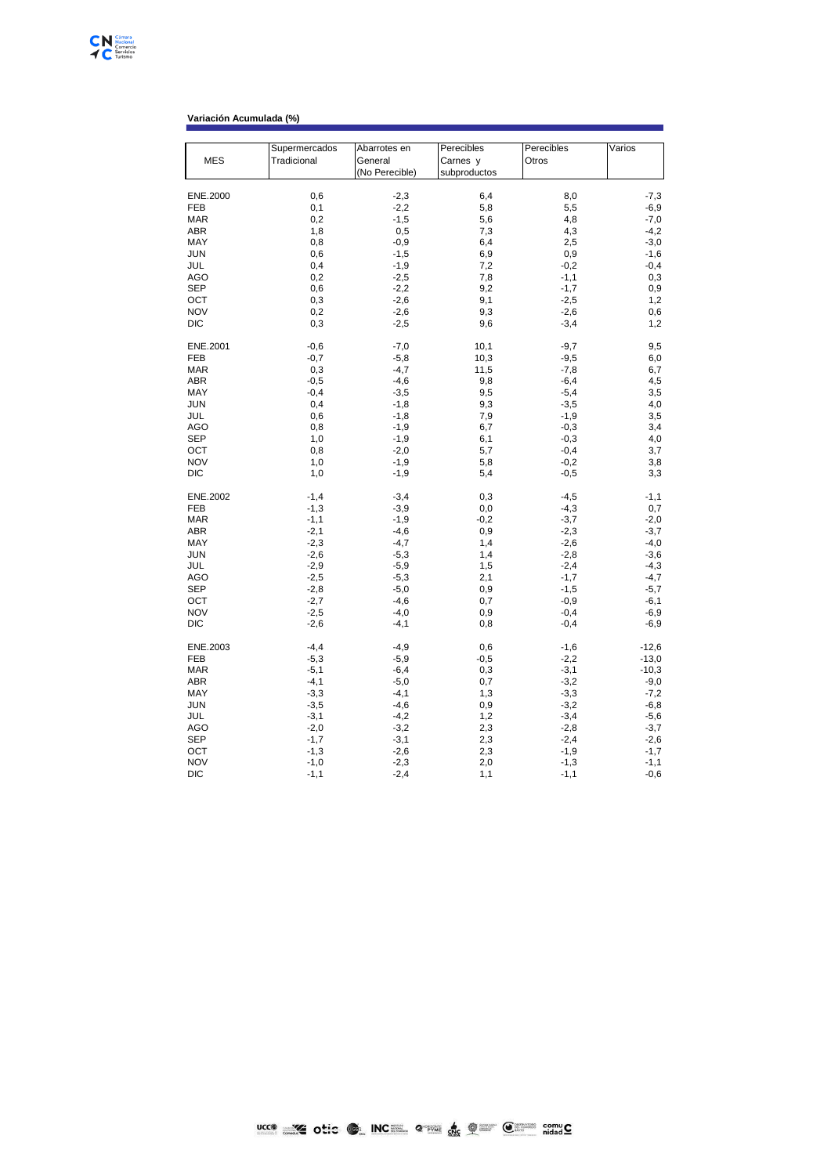## **Variación Acumulada (%)**

|            | Supermercados | Abarrotes en   | Perecibles   | Perecibles | Varios  |
|------------|---------------|----------------|--------------|------------|---------|
| <b>MES</b> | Tradicional   | General        | Carnes y     | Otros      |         |
|            |               | (No Perecible) | subproductos |            |         |
|            |               |                |              |            |         |
| ENE.2000   | 0,6           | $-2,3$         | 6,4          | 8,0        | $-7,3$  |
| FEB        | 0,1           | $-2,2$         | 5,8          | 5,5        | $-6,9$  |
| <b>MAR</b> | 0,2           | $-1,5$         | 5,6          | 4,8        | $-7,0$  |
| ABR        | 1,8           | 0,5            | 7,3          | 4,3        | $-4,2$  |
| MAY        | 0,8           | $-0,9$         | 6,4          | 2,5        | $-3,0$  |
| JUN        | 0,6           | $-1,5$         | 6,9          | 0,9        | $-1,6$  |
| JUL        | 0,4           | $-1,9$         | 7,2          | $-0,2$     | $-0,4$  |
| AGO        | 0,2           | $-2,5$         | 7,8          | $-1,1$     | 0,3     |
| SEP        | 0,6           | $-2,2$         | 9,2          | $-1,7$     | 0,9     |
| OCT        | 0,3           | $-2,6$         | 9,1          | $-2,5$     | 1,2     |
| <b>NOV</b> | 0,2           | $-2,6$         | 9,3          | $-2,6$     | 0,6     |
| DIC        | 0,3           | $-2,5$         | 9,6          | $-3,4$     | 1,2     |
| ENE.2001   | $-0,6$        | $-7,0$         | 10,1         | $-9,7$     | 9,5     |
| FEB        | $-0,7$        | $-5,8$         | 10,3         | $-9,5$     | 6,0     |
| MAR        | 0,3           | $-4,7$         | 11,5         | $-7,8$     | 6,7     |
| ABR        | $-0,5$        | $-4,6$         | 9,8          | $-6,4$     | 4,5     |
| MAY        | $-0,4$        | $-3,5$         | 9,5          | $-5,4$     | 3,5     |
| JUN        | 0,4           | $-1,8$         | 9,3          | $-3,5$     | 4,0     |
| JUL        | 0,6           | $-1,8$         | 7,9          | $-1,9$     | 3,5     |
| AGO        | 0,8           | $-1,9$         | 6,7          | $-0,3$     | 3,4     |
| <b>SEP</b> | 1,0           | $-1,9$         | 6,1          | $-0,3$     | 4,0     |
| OCT        | 0,8           | $-2,0$         | 5,7          | $-0,4$     | 3,7     |
| <b>NOV</b> | 1,0           | $-1,9$         | 5,8          | $-0,2$     | 3,8     |
| DIC        | 1,0           | $-1,9$         | 5,4          | $-0,5$     | 3,3     |
| ENE.2002   | $-1,4$        | $-3,4$         | 0,3          | $-4,5$     | $-1,1$  |
| FEB        | $-1,3$        | $-3,9$         | 0,0          | $-4,3$     | 0,7     |
| <b>MAR</b> | $-1,1$        | $-1,9$         | $-0,2$       | $-3,7$     | $-2,0$  |
| ABR        | $-2,1$        | $-4,6$         | 0,9          | $-2,3$     | $-3,7$  |
| MAY        | $-2,3$        | $-4,7$         | 1,4          | $-2,6$     | $-4,0$  |
| <b>JUN</b> | $-2,6$        | $-5,3$         | 1,4          | $-2,8$     | $-3,6$  |
| JUL        | $-2,9$        | $-5,9$         | 1,5          | $-2,4$     | $-4,3$  |
| AGO        | $-2,5$        | $-5,3$         | 2,1          | $-1,7$     | $-4,7$  |
| SEP        | $-2,8$        | $-5,0$         | 0,9          | $-1,5$     | $-5,7$  |
| OCT        | $-2,7$        | $-4,6$         | 0,7          | $-0,9$     | $-6,1$  |
| <b>NOV</b> | $-2,5$        | $-4,0$         | 0,9          | $-0,4$     | $-6,9$  |
| DIC        | $-2,6$        | $-4,1$         | 0,8          | $-0,4$     | $-6,9$  |
| ENE.2003   | $-4,4$        | $-4,9$         | 0,6          | $-1,6$     | $-12,6$ |
| FEB        | $-5,3$        | $-5,9$         | $-0,5$       | $-2,2$     | $-13,0$ |
| <b>MAR</b> | $-5,1$        | $-6,4$         | 0,3          | $-3,1$     | $-10,3$ |
| ABR        | $-4,1$        | $-5,0$         | 0,7          | $-3,2$     | $-9,0$  |
| MAY        | $-3,3$        | $-4,1$         | 1,3          | $-3,3$     | $-7,2$  |
| JUN        | $-3,5$        | $-4,6$         | 0,9          | $-3,2$     | $-6, 8$ |
| JUL        | $-3,1$        | $-4,2$         | 1,2          | $-3,4$     | $-5,6$  |
| AGO        | $-2,0$        | $-3,2$         | 2,3          | $-2,8$     | $-3,7$  |
| <b>SEP</b> | $-1,7$        | $-3,1$         | 2,3          | $-2,4$     | $-2,6$  |
| OCT        | $-1,3$        | $-2,6$         | 2,3          | $-1,9$     | $-1,7$  |
| <b>NOV</b> | $-1,0$        | $-2,3$         | 2,0          | $-1,3$     | $-1,1$  |
| DIC        | $-1,1$        | $-2,4$         | 1,1          | $-1,1$     | $-0,6$  |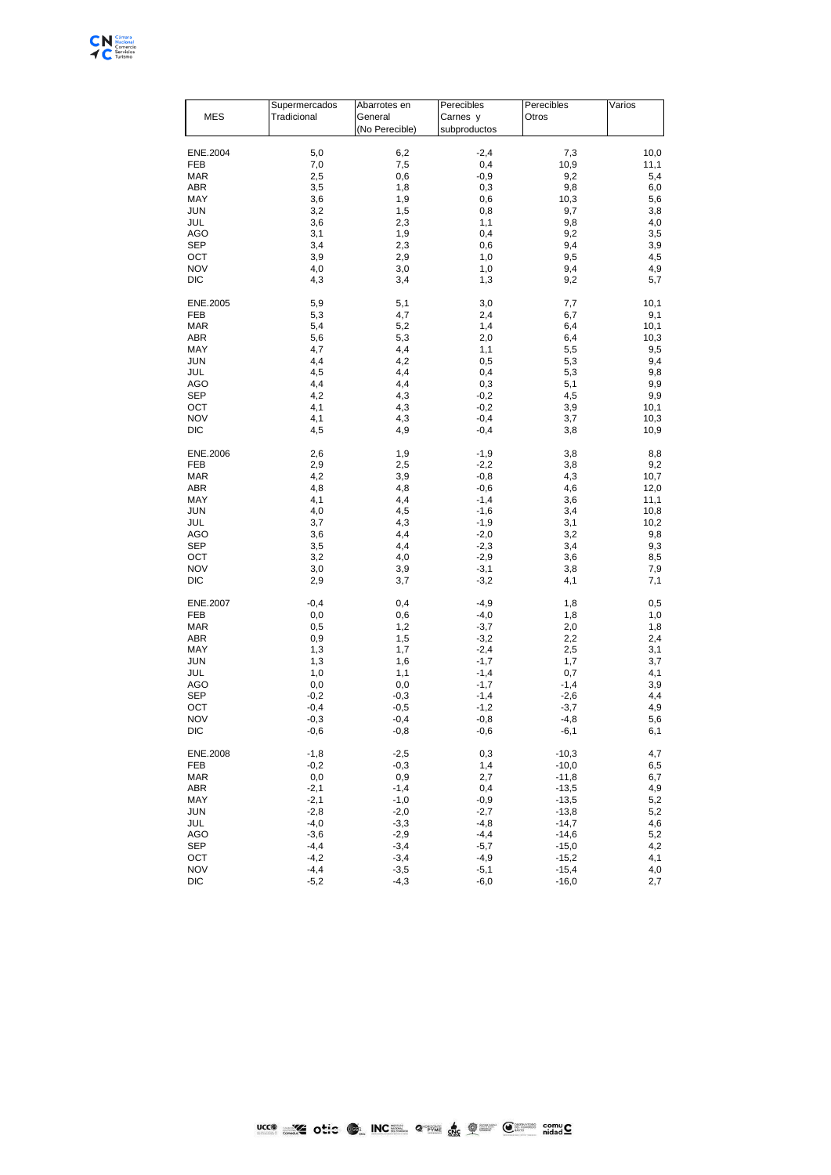

| MES          | Supermercados<br>Tradicional | Abarrotes en<br>General<br>(No Perecible) | Perecibles<br>Carnes y<br>subproductos | Perecibles<br>Otros | Varios |
|--------------|------------------------------|-------------------------------------------|----------------------------------------|---------------------|--------|
| ENE.2004     | 5,0                          | 6,2                                       | $-2,4$                                 | 7,3                 | 10,0   |
| FEB          | 7,0                          | 7,5                                       | 0,4                                    | 10,9                | 11,1   |
| <b>MAR</b>   | 2,5                          | 0,6                                       | $-0,9$                                 | 9,2                 | 5,4    |
| ABR          | 3,5                          | 1,8                                       | 0,3                                    | 9,8                 | 6,0    |
| MAY          | 3,6                          | 1,9                                       | 0,6                                    | 10,3                | 5,6    |
| <b>JUN</b>   | 3,2                          | 1,5                                       | 0,8                                    | 9,7                 | 3,8    |
| JUL          | 3,6                          | 2,3                                       | 1,1                                    | 9,8                 | 4,0    |
| <b>AGO</b>   | 3,1                          | 1,9                                       | 0,4                                    | 9,2                 | 3,5    |
| SEP          | 3,4                          | 2,3                                       | 0,6                                    | 9,4                 | 3,9    |
| OCT          | 3,9                          | 2,9                                       | 1,0                                    | 9,5                 | 4,5    |
| <b>NOV</b>   | 4,0                          | 3,0                                       | 1,0                                    | 9,4                 | 4,9    |
| <b>DIC</b>   | 4,3                          | 3,4                                       | 1,3                                    | 9,2                 | 5,7    |
| ENE.2005     | 5,9                          | 5,1                                       | 3,0                                    | 7,7                 | 10,1   |
| FEB          | 5,3                          | 4,7                                       | 2,4                                    | 6,7                 | 9,1    |
| <b>MAR</b>   | 5,4                          | 5,2                                       | 1,4                                    | 6,4                 | 10,1   |
| <b>ABR</b>   | 5,6                          | 5,3                                       | 2,0                                    | 6,4                 | 10,3   |
| MAY          | 4,7                          | 4,4                                       | 1,1                                    | 5,5                 | 9,5    |
| <b>JUN</b>   | 4,4                          | 4,2                                       | 0,5                                    | 5,3                 | 9,4    |
| JUL          | 4,5                          | 4,4                                       | 0,4                                    | 5,3                 | 9,8    |
| <b>AGO</b>   | 4,4                          | 4,4                                       | 0,3                                    | 5,1                 | 9,9    |
| SEP          | 4,2                          | 4,3                                       | $-0,2$                                 | 4,5                 | 9,9    |
| OCT          | 4,1                          | 4,3                                       | $-0,2$                                 | 3,9                 | 10,1   |
| <b>NOV</b>   | 4,1                          | 4,3                                       | $-0,4$                                 | 3,7                 | 10,3   |
| <b>DIC</b>   | 4,5                          | 4,9                                       | $-0,4$                                 | 3,8                 | 10,9   |
| ENE.2006     | 2,6                          | 1,9                                       | $-1,9$                                 | 3,8                 | 8,8    |
| FEB          | 2,9                          | 2,5                                       | $-2,2$                                 | 3,8                 | 9,2    |
| <b>MAR</b>   | 4,2                          | 3,9                                       | $-0,8$                                 | 4,3                 | 10,7   |
| ABR          | 4,8                          | 4,8                                       | $-0,6$                                 | 4,6                 | 12,0   |
| MAY          | 4,1                          | 4,4                                       | $-1,4$                                 | 3,6                 | 11,1   |
| <b>JUN</b>   | 4,0                          | 4,5                                       | $-1,6$                                 | 3,4                 | 10,8   |
| <b>JUL</b>   | 3,7                          | 4,3                                       | $-1,9$                                 | 3,1                 | 10,2   |
| AGO          | 3,6                          | 4,4                                       | $-2,0$                                 | 3,2                 | 9,8    |
| SEP          | 3,5                          | 4,4                                       | $-2,3$                                 | 3,4                 | 9,3    |
| OCT          | 3,2                          | 4,0                                       | $-2,9$                                 | 3,6                 | 8,5    |
| <b>NOV</b>   | 3,0                          | 3,9                                       | $-3,1$                                 | 3,8                 | 7,9    |
| <b>DIC</b>   | 2,9                          | 3,7                                       | $-3,2$                                 | 4,1                 | 7,1    |
| ENE.2007     | $-0,4$                       | 0,4                                       | $-4,9$                                 | 1,8                 | 0,5    |
| <b>FEB</b>   | 0,0                          | 0,6                                       | $-4,0$                                 | 1,8                 | 1,0    |
| <b>MAR</b>   | 0,5                          | 1,2                                       | $-3,7$                                 | 2,0                 | 1,8    |
| ABR          | $_{0,9}$                     | 1,5                                       | $-3,2$                                 | 2,2                 | 2,4    |
| MAY          | 1,3                          | 1,7                                       | $-2,4$                                 | 2,5                 | 3,1    |
| <b>JUN</b>   | 1,3                          | 1,6                                       | $-1,7$                                 | 1,7                 | 3,7    |
| JUL          | 1,0                          | 1,1                                       | $-1,4$                                 | 0,7                 | 4,1    |
| AGO          | 0,0                          | 0,0                                       | $-1,7$                                 | $-1,4$              | 3,9    |
| SEP          | $-0,2$                       | $-0,3$                                    | $-1,4$                                 | $-2,6$              | 4,4    |
| OCT          | $-0,4$                       | $-0,5$                                    | $-1,2$                                 | $-3,7$              | 4,9    |
| <b>NOV</b>   | $-0,3$                       | $-0,4$                                    | $-0,8$                                 | $-4,8$              | 5,6    |
| DIC          | $-0,6$                       | $-0,8$                                    | -0,6                                   | -6,1                | 6,1    |
| ENE.2008     | $-1,8$                       | $-2,5$                                    | 0,3                                    | $-10,3$             | 4,7    |
| FEB          | $-0,2$                       | $-0,3$                                    | 1,4                                    | $-10,0$             | 6,5    |
| <b>MAR</b>   | 0,0                          | 0,9                                       | 2,7                                    | $-11,8$             | 6,7    |
| <b>ABR</b>   | $-2,1$                       | $-1,4$                                    | 0,4                                    | $-13,5$             | 4,9    |
| MAY          | $-2,1$                       | $-1,0$                                    | $-0,9$                                 | $-13,5$             | 5,2    |
| <b>JUN</b>   | $-2,8$                       | $-2,0$                                    | $-2,7$                                 | $-13,8$             | 5,2    |
| JUL          | $-4,0$                       | $-3,3$                                    | $-4,8$                                 | $-14,7$             | 4,6    |
| AGO          | $-3,6$                       | $-2,9$                                    | $-4,4$                                 | $-14,6$             | 5,2    |
| SEP          | $-4,4$                       | $-3,4$                                    | $-5,7$                                 | $-15,0$             | 4,2    |
| OCT          | $-4,2$                       | $-3,4$                                    | $-4,9$                                 | $-15,2$             | 4,1    |
| <b>NOV</b>   | $-4,4$                       | $-3,5$                                    | $-5,1$                                 | $-15,4$             | 4,0    |
| $_{\rm DIC}$ | $-5,2$                       | $-4,3$                                    | $-6,0$                                 | $-16,0$             | 2,7    |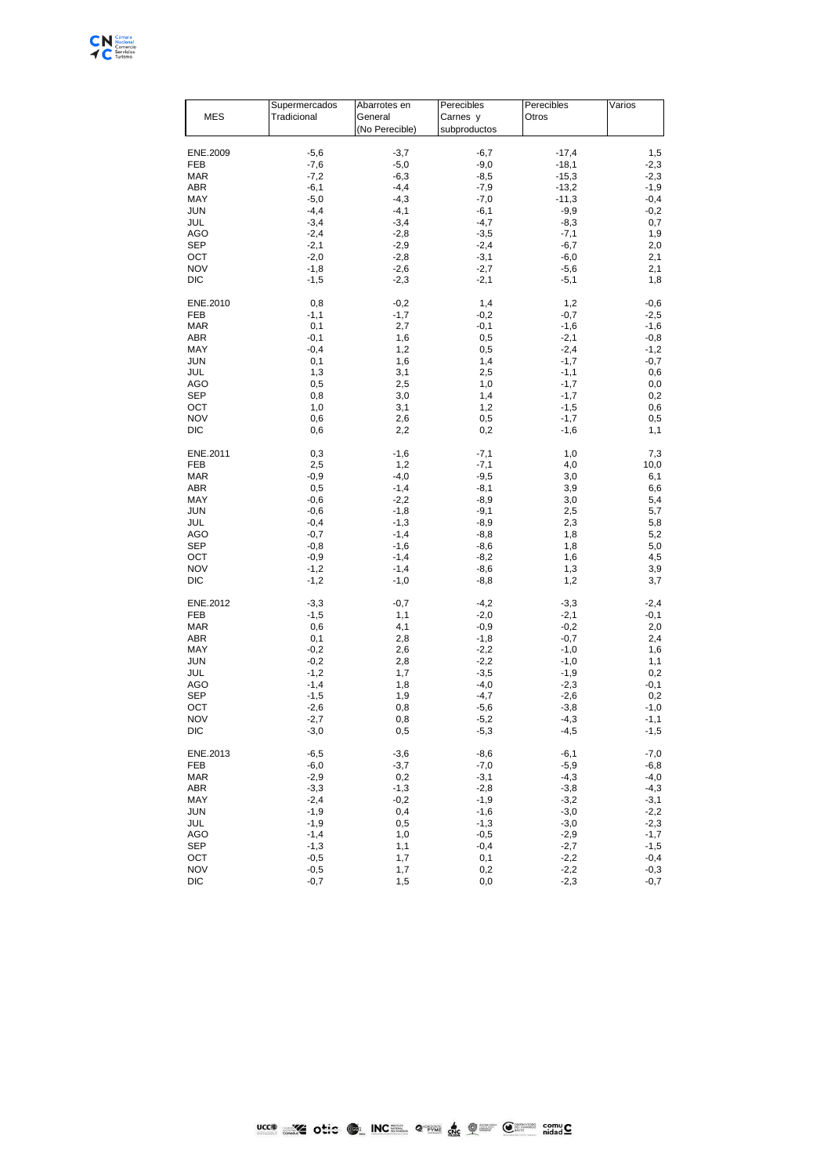

| MES               | Supermercados<br>Tradicional | Abarrotes en<br>General<br>(No Perecible) | Perecibles<br>Carnes y<br>subproductos | Perecibles<br>Otros | Varios           |
|-------------------|------------------------------|-------------------------------------------|----------------------------------------|---------------------|------------------|
|                   |                              |                                           |                                        |                     |                  |
| ENE.2009          | $-5,6$                       | $-3,7$                                    | $-6,7$                                 | $-17,4$             | 1,5              |
| FEB               | $-7,6$                       | $-5,0$                                    | $-9,0$                                 | $-18,1$             | $-2,3$           |
| <b>MAR</b>        | $-7,2$                       | $-6,3$                                    | $-8,5$                                 | $-15,3$             | $-2,3$           |
| ABR               | $-6,1$                       | $-4,4$                                    | $-7,9$                                 | $-13,2$             | $-1,9$           |
| MAY               | $-5,0$                       | $-4,3$                                    | $-7,0$                                 | $-11,3$             | $-0,4$           |
| <b>JUN</b>        | $-4,4$                       | $-4,1$                                    | $-6,1$                                 | $-9,9$              | $-0,2$           |
| JUL               | $-3,4$                       | $-3,4$                                    | $-4,7$                                 | $-8,3$              | 0,7              |
| <b>AGO</b>        | $-2,4$                       | $-2,8$                                    | $-3,5$                                 | $-7,1$              | 1,9              |
| SEP               | $-2,1$                       | $-2,9$                                    | $-2,4$                                 | $-6,7$              | 2,0              |
| OCT<br><b>NOV</b> | $-2,0$                       | $-2,8$                                    | $-3,1$                                 | $-6,0$              | 2,1              |
| <b>DIC</b>        | $-1,8$<br>$-1,5$             | $-2,6$<br>$-2,3$                          | $-2,7$<br>$-2,1$                       | $-5,6$<br>$-5,1$    | 2,1<br>1,8       |
|                   |                              |                                           |                                        |                     |                  |
| ENE.2010          | 0,8                          | $-0,2$                                    | 1,4                                    | 1,2                 | $-0,6$           |
| FEB               | $-1,1$                       | $-1,7$                                    | $-0,2$                                 | $-0,7$              | $-2,5$           |
| <b>MAR</b>        | 0,1                          | 2,7                                       | $-0,1$                                 | $-1,6$              | $-1,6$           |
| <b>ABR</b>        | $-0,1$                       | 1,6                                       | 0,5                                    | $-2,1$              | $-0,8$           |
| MAY               | $-0,4$                       | 1,2                                       | 0,5                                    | $-2,4$              | $-1,2$           |
| <b>JUN</b>        | 0,1                          | 1,6                                       | 1,4                                    | $-1,7$              | $-0,7$           |
| JUL               | 1,3                          | 3,1                                       | 2,5                                    | $-1,1$              | 0,6              |
| <b>AGO</b>        | 0,5                          | 2,5                                       | 1,0                                    | $-1,7$              | 0,0              |
| SEP               | 0,8                          | 3,0                                       | 1,4                                    | $-1,7$              | 0,2              |
| OCT<br><b>NOV</b> | 1,0                          | 3,1                                       | 1,2                                    | $-1,5$<br>$-1,7$    | 0,6              |
| <b>DIC</b>        | 0,6<br>0,6                   | 2,6<br>2,2                                | 0,5<br>0,2                             | $-1,6$              | 0,5<br>1,1       |
|                   |                              |                                           |                                        |                     |                  |
| ENE.2011          | 0,3                          | $-1,6$                                    | $-7,1$                                 | 1,0                 | 7,3              |
| FEB               | 2,5                          | 1,2                                       | $-7,1$                                 | 4,0                 | 10,0             |
| <b>MAR</b>        | $-0,9$                       | $-4,0$                                    | $-9,5$                                 | 3,0                 | 6,1              |
| ABR               | 0,5                          | $-1,4$                                    | $-8,1$                                 | 3,9                 | 6,6              |
| MAY               | $-0,6$                       | $-2,2$                                    | $-8,9$                                 | 3,0                 | 5,4              |
| <b>JUN</b>        | $-0,6$                       | $-1,8$                                    | $-9,1$                                 | 2,5                 | 5,7              |
| <b>JUL</b>        | $-0,4$                       | $-1,3$                                    | $-8,9$                                 | 2,3                 | 5,8              |
| AGO               | $-0,7$                       | $-1,4$                                    | $-8,8$                                 | 1,8                 | 5,2              |
| SEP               | $-0,8$                       | $-1,6$                                    | $-8,6$                                 | 1,8                 | 5,0              |
| OCT<br><b>NOV</b> | $-0,9$<br>$-1,2$             | $-1,4$<br>$-1,4$                          | $-8,2$<br>$-8,6$                       | 1,6<br>1,3          | 4,5<br>3,9       |
| <b>DIC</b>        | $-1,2$                       | $-1,0$                                    | $-8,8$                                 | 1,2                 | 3,7              |
|                   |                              |                                           |                                        |                     |                  |
| ENE.2012          | $-3,3$                       | $-0,7$                                    | $-4,2$                                 | $-3,3$              | $-2,4$           |
| <b>FEB</b>        | $-1,5$                       | 1,1                                       | $-2,0$                                 | $-2,1$              | $-0,1$           |
| <b>MAR</b>        | 0,6                          | 4,1                                       | $-0,9$                                 | $-0,2$              | 2,0              |
| ABR               | 0,1                          | 2,8                                       | $-1,8$                                 | $-0,7$              | 2,4              |
| MAY               | $-0,2$                       | 2,6                                       | $-2,2$                                 | $-1,0$              | 1,6              |
| <b>JUN</b>        | $-0,2$                       | 2,8                                       | $-2,2$                                 | $-1,0$              | 1,1              |
| JUL<br>AGO        | $-1,2$<br>$-1,4$             | 1,7<br>1,8                                | $-3,5$<br>$-4,0$                       | $-1,9$<br>$-2,3$    | 0,2              |
| SEP               | $-1,5$                       | 1,9                                       | $-4,7$                                 | $-2,6$              | -0,1<br>0,2      |
| OCT               | $-2,6$                       | 0,8                                       | $-5,6$                                 | $-3,8$              | $-1,0$           |
| <b>NOV</b>        | $-2,7$                       | 0,8                                       | $-5,2$                                 | $-4,3$              | $-1,1$           |
| DIC               | -3,0                         | 0,5                                       | -5,3                                   | -4,5                | -1,5             |
|                   |                              |                                           |                                        |                     |                  |
| ENE.2013          | $-6,5$                       | $-3,6$                                    | $-8,6$                                 | $-6,1$              | $-7,0$           |
| FEB               | $-6,0$                       | $-3,7$                                    | $-7,0$                                 | $-5,9$              | $-6,8$           |
| <b>MAR</b>        | $-2,9$                       | 0,2                                       | $-3,1$                                 | $-4,3$              | $-4,0$           |
| <b>ABR</b>        | $-3,3$                       | $-1,3$                                    | $-2,8$                                 | $-3,8$              | $-4,3$           |
| MAY               | $-2,4$                       | $-0,2$                                    | $-1,9$                                 | $-3,2$              | $-3,1$           |
| <b>JUN</b><br>JUL | $-1,9$<br>$-1,9$             | 0,4<br>0,5                                | $-1,6$<br>$-1,3$                       | $-3,0$<br>$-3,0$    | $-2,2$<br>$-2,3$ |
| AGO               | $-1,4$                       | 1,0                                       | $-0,5$                                 | $-2,9$              | $-1,7$           |
| SEP               | $-1,3$                       | 1,1                                       | $-0,4$                                 | $-2,7$              | $-1,5$           |
| OCT               | $-0,5$                       | 1,7                                       | 0,1                                    | $-2,2$              | $-0,4$           |
| <b>NOV</b>        | $-0,5$                       | 1,7                                       | 0,2                                    | $-2,2$              | $-0,3$           |
| $_{\rm DIC}$      | $-0,7$                       | 1,5                                       | 0,0                                    | $-2,3$              | $-0,7$           |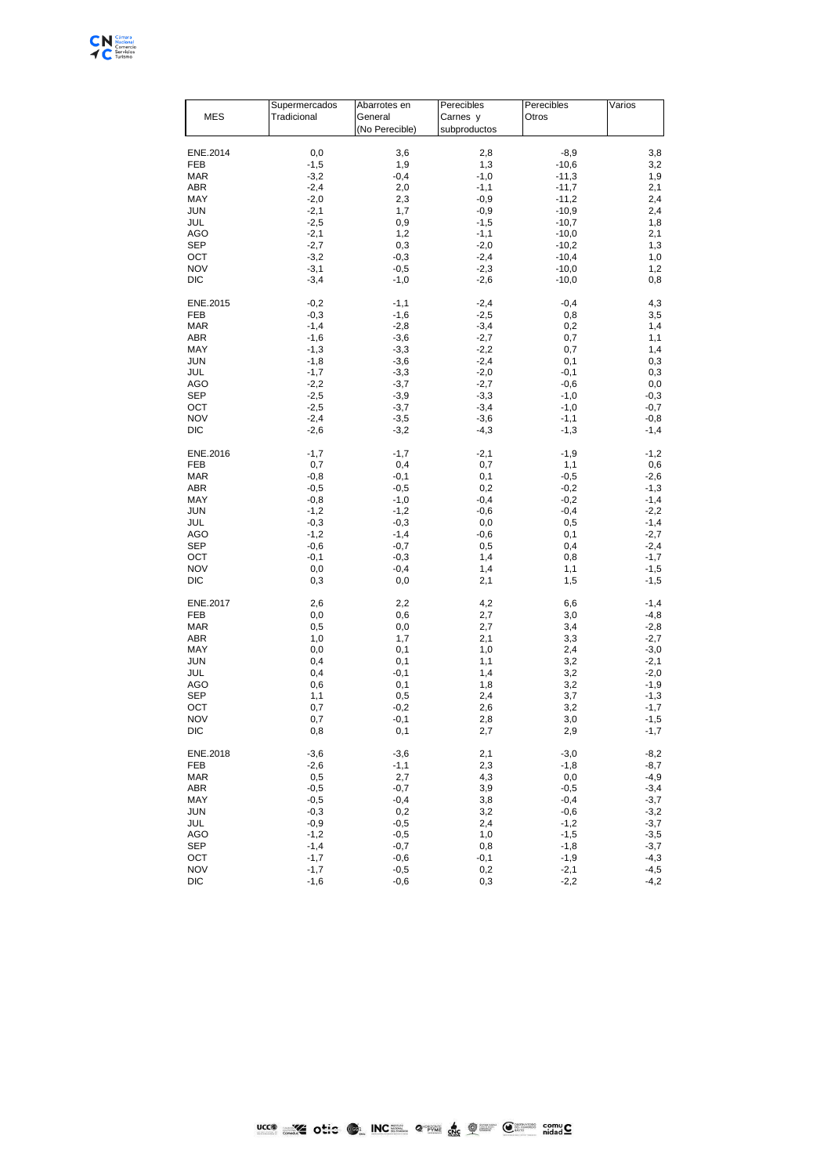

| MES        | Supermercados<br>Tradicional | Abarrotes en<br>General<br>(No Perecible) | Perecibles<br>Carnes y<br>subproductos | Perecibles<br>Otros | Varios |
|------------|------------------------------|-------------------------------------------|----------------------------------------|---------------------|--------|
| ENE.2014   | 0,0                          | 3,6                                       | 2,8                                    | $-8,9$              | 3,8    |
| FEB        | $-1,5$                       | 1,9                                       | 1,3                                    | $-10,6$             | 3,2    |
| <b>MAR</b> | $-3,2$                       | $-0,4$                                    | $-1,0$                                 | $-11,3$             | 1,9    |
| ABR        | $-2,4$                       | 2,0                                       | $-1,1$                                 | $-11,7$             | 2,1    |
| MAY        | $-2,0$                       | 2,3                                       | $-0,9$                                 | $-11,2$             | 2,4    |
| <b>JUN</b> | $-2,1$                       | 1,7                                       | $-0,9$                                 | $-10,9$             | 2,4    |
| JUL        | $-2,5$                       | 0,9                                       | $-1,5$                                 | $-10,7$             | 1,8    |
| <b>AGO</b> | $-2,1$                       | 1,2                                       | $-1,1$                                 | $-10,0$             | 2,1    |
| SEP        | $-2,7$                       | 0,3                                       | $-2,0$                                 | $-10,2$             | 1,3    |
| OCT        | $-3,2$                       | $-0,3$                                    | $-2,4$                                 | $-10,4$             | 1,0    |
| <b>NOV</b> | $-3,1$                       | $-0,5$                                    | $-2,3$                                 | $-10,0$             | 1,2    |
| <b>DIC</b> | $-3,4$                       | $-1,0$                                    | $-2,6$                                 | $-10,0$             | 0,8    |
| ENE.2015   | $-0,2$                       | $-1,1$                                    | $-2,4$                                 | $-0,4$              | 4,3    |
| FEB        | $-0,3$                       | $-1,6$                                    | $-2,5$                                 | 0,8                 | 3,5    |
| <b>MAR</b> | $-1,4$                       | $-2,8$                                    | $-3,4$                                 | 0,2                 | 1,4    |
| <b>ABR</b> | $-1,6$                       | $-3,6$                                    | $-2,7$                                 | 0,7                 | 1,1    |
| MAY        | $-1,3$                       | $-3,3$                                    | $-2,2$                                 | 0,7                 | 1,4    |
| <b>JUN</b> | $-1,8$                       | $-3,6$                                    | $-2,4$                                 | 0,1                 | 0,3    |
| JUL        | $-1,7$                       | $-3,3$                                    | $-2,0$                                 | $-0,1$              | 0,3    |
| <b>AGO</b> | $-2,2$                       | $-3,7$                                    | $-2,7$                                 | $-0,6$              | 0,0    |
| <b>SEP</b> | $-2,5$                       | $-3,9$                                    | $-3,3$                                 | $-1,0$              | $-0,3$ |
| OCT        | $-2,5$                       | $-3,7$                                    | $-3,4$                                 | $-1,0$              | $-0,7$ |
| <b>NOV</b> | $-2,4$                       | $-3,5$                                    | $-3,6$                                 | $-1,1$              | $-0,8$ |
| <b>DIC</b> | $-2,6$                       | $-3,2$                                    | $-4,3$                                 | $-1,3$              | $-1,4$ |
| ENE.2016   | $-1,7$                       | $-1,7$                                    | $-2,1$                                 | $-1,9$              | $-1,2$ |
| FEB        | 0,7                          | 0,4                                       | 0,7                                    | 1,1                 | 0,6    |
| <b>MAR</b> | $-0,8$                       | $-0,1$                                    | 0,1                                    | $-0,5$              | $-2,6$ |
| ABR        | $-0,5$                       | $-0,5$                                    | 0,2                                    | $-0,2$              | $-1,3$ |
| MAY        | $-0,8$                       | $-1,0$                                    | $-0,4$                                 | $-0,2$              | $-1,4$ |
| <b>JUN</b> | $-1,2$                       | $-1,2$                                    | $-0,6$                                 | $-0,4$              | $-2,2$ |
| <b>JUL</b> | $-0,3$                       | $-0,3$                                    | $_{0,0}$                               | 0,5                 | $-1,4$ |
| AGO        | $-1,2$                       | $-1,4$                                    | $-0,6$                                 | 0,1                 | $-2,7$ |
| SEP        | $-0,6$                       | $-0,7$                                    | 0,5                                    | 0,4                 | $-2,4$ |
| OCT        | $-0,1$                       | $-0,3$                                    | 1,4                                    | 0,8                 | $-1,7$ |
| <b>NOV</b> | 0,0                          | $-0,4$                                    | 1,4                                    | 1,1                 | $-1,5$ |
| <b>DIC</b> | 0,3                          | 0,0                                       | 2,1                                    | 1,5                 | $-1,5$ |
| ENE.2017   | 2,6                          | 2,2                                       | 4,2                                    | 6,6                 | $-1,4$ |
| <b>FEB</b> | $_{0,0}$                     | 0,6                                       | 2,7                                    | 3,0                 | $-4,8$ |
| <b>MAR</b> | 0,5                          | 0,0                                       | 2,7                                    | 3,4                 | $-2,8$ |
| ABR        | 1,0                          | 1,7                                       | 2,1                                    | 3,3                 | $-2,7$ |
| MAY        | 0,0                          | 0,1                                       | 1,0                                    | 2,4                 | $-3,0$ |
| <b>JUN</b> | 0,4                          | 0,1                                       | 1,1                                    | 3,2                 | $-2,1$ |
| JUL        | 0,4                          | $-0,1$                                    | 1,4                                    | 3,2                 | $-2,0$ |
| AGO        | 0,6                          | 0,1                                       | 1,8                                    | 3,2                 | $-1,9$ |
| SEP        | 1,1                          | 0,5                                       | 2,4                                    | 3,7                 | $-1,3$ |
| OCT        | 0,7                          | $-0,2$                                    | 2,6                                    | 3,2                 | $-1,7$ |
| <b>NOV</b> | 0,7                          | $-0,1$                                    | 2,8                                    | 3,0                 | $-1,5$ |
| DIC        | 0,8                          | 0,1                                       | 2,7                                    | 2,9                 | -1,7   |
| ENE.2018   | $-3,6$                       | $-3,6$                                    | 2,1                                    | $-3,0$              | $-8,2$ |
| FEB        | $-2,6$                       | $-1,1$                                    | 2,3                                    | $-1,8$              | $-8,7$ |
| <b>MAR</b> | 0,5                          | 2,7                                       | 4,3                                    | 0,0                 | $-4,9$ |
| ABR        | $-0,5$                       | $-0,7$                                    | 3,9                                    | $-0,5$              | $-3,4$ |
| MAY        | $-0,5$                       | $-0,4$                                    | 3,8                                    | $-0,4$              | $-3,7$ |
| <b>JUN</b> | $-0,3$                       | 0,2                                       | 3,2                                    | $-0,6$              | $-3,2$ |
| JUL        | $-0,9$                       | $-0,5$                                    | 2,4                                    | $-1,2$              | $-3,7$ |
| AGO        | $-1,2$                       | $-0,5$                                    | 1,0                                    | $-1,5$              | $-3,5$ |
| SEP        | $-1,4$                       | $-0,7$                                    | 0,8                                    | $-1,8$              | $-3,7$ |
| OCT        | $-1,7$                       | $-0,6$                                    | $-0,1$                                 | $-1,9$              | $-4,3$ |
| <b>NOV</b> | $-1,7$                       | $-0,5$                                    | 0,2                                    | $-2,1$              | $-4,5$ |
| DIC        | $-1,6$                       | $-0,6$                                    | 0,3                                    | $-2,2$              | $-4,2$ |